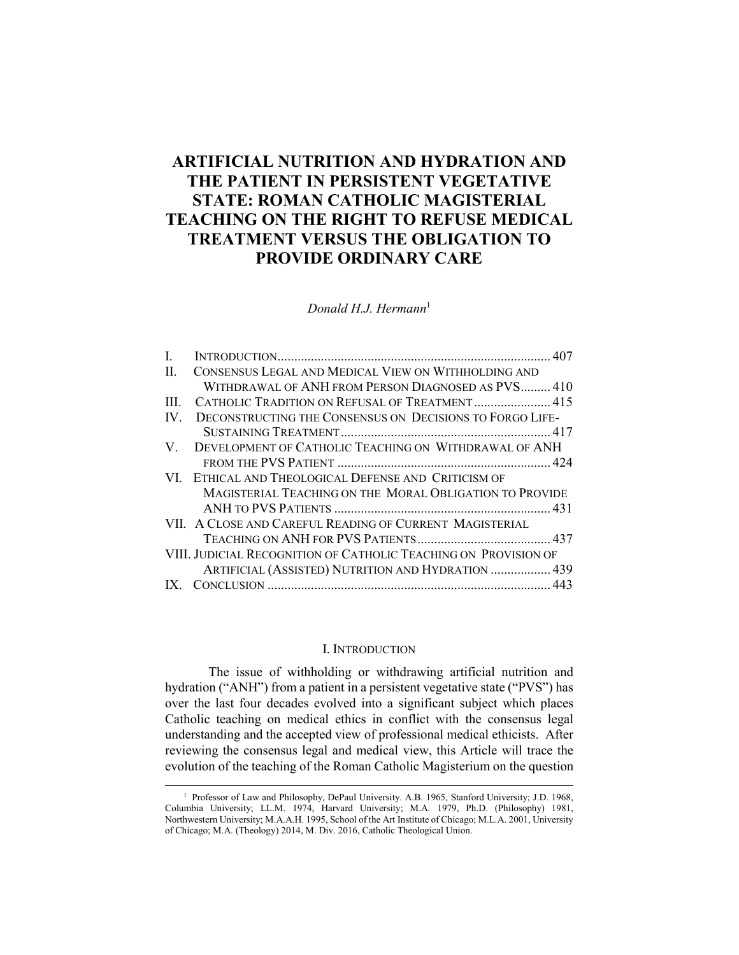# **ARTIFICIAL NUTRITION AND HYDRATION AND THE PATIENT IN PERSISTENT VEGETATIVE STATE: ROMAN CATHOLIC MAGISTERIAL TEACHING ON THE RIGHT TO REFUSE MEDICAL TREATMENT VERSUS THE OBLIGATION TO PROVIDE ORDINARY CARE**

*Donald H.J. Hermann*<sup>1</sup>

| $\mathbf{I}$ |                                                                 |  |
|--------------|-----------------------------------------------------------------|--|
| $\mathbf{H}$ | CONSENSUS LEGAL AND MEDICAL VIEW ON WITHHOLDING AND             |  |
|              | WITHDRAWAL OF ANH FROM PERSON DIAGNOSED AS PVS 410              |  |
| HH.          | CATHOLIC TRADITION ON REFUSAL OF TREATMENT  415                 |  |
| IV.          | DECONSTRUCTING THE CONSENSUS ON DECISIONS TO FORGO LIFE-        |  |
|              |                                                                 |  |
| V.           | DEVELOPMENT OF CATHOLIC TEACHING ON WITHDRAWAL OF ANH           |  |
|              |                                                                 |  |
|              | VI. ETHICAL AND THEOLOGICAL DEFENSE AND CRITICISM OF            |  |
|              | MAGISTERIAL TEACHING ON THE MORAL OBLIGATION TO PROVIDE         |  |
|              |                                                                 |  |
|              | VII. A CLOSE AND CAREFUL READING OF CURRENT MAGISTERIAL         |  |
|              |                                                                 |  |
|              | VIII. JUDICIAL RECOGNITION OF CATHOLIC TEACHING ON PROVISION OF |  |
|              | ARTIFICIAL (ASSISTED) NUTRITION AND HYDRATION  439              |  |
|              |                                                                 |  |

#### I. INTRODUCTION

The issue of withholding or withdrawing artificial nutrition and hydration ("ANH") from a patient in a persistent vegetative state ("PVS") has over the last four decades evolved into a significant subject which places Catholic teaching on medical ethics in conflict with the consensus legal understanding and the accepted view of professional medical ethicists. After reviewing the consensus legal and medical view, this Article will trace the evolution of the teaching of the Roman Catholic Magisterium on the question

<sup>&</sup>lt;sup>1</sup> <sup>1</sup> Professor of Law and Philosophy, DePaul University. A.B. 1965, Stanford University; J.D. 1968, Columbia University; LL.M. 1974, Harvard University; M.A. 1979, Ph.D. (Philosophy) 1981, Northwestern University; M.A.A.H. 1995, School of the Art Institute of Chicago; M.L.A. 2001, University of Chicago; M.A. (Theology) 2014, M. Div. 2016, Catholic Theological Union.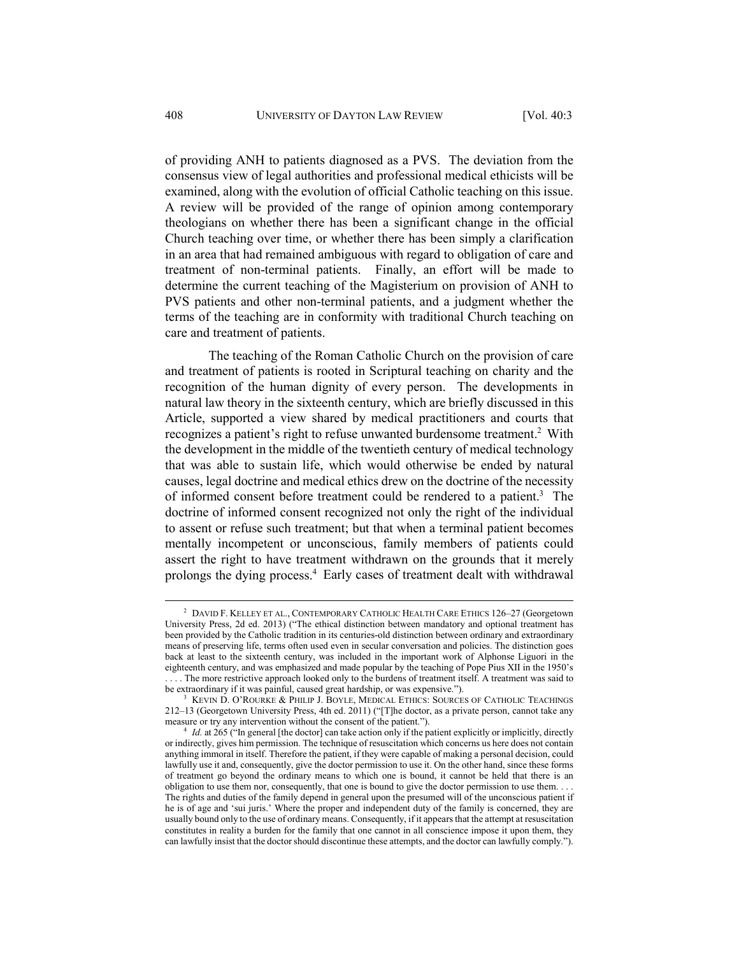of providing ANH to patients diagnosed as a PVS. The deviation from the consensus view of legal authorities and professional medical ethicists will be examined, along with the evolution of official Catholic teaching on this issue. A review will be provided of the range of opinion among contemporary theologians on whether there has been a significant change in the official Church teaching over time, or whether there has been simply a clarification in an area that had remained ambiguous with regard to obligation of care and treatment of non-terminal patients. Finally, an effort will be made to determine the current teaching of the Magisterium on provision of ANH to PVS patients and other non-terminal patients, and a judgment whether the terms of the teaching are in conformity with traditional Church teaching on care and treatment of patients.

The teaching of the Roman Catholic Church on the provision of care and treatment of patients is rooted in Scriptural teaching on charity and the recognition of the human dignity of every person. The developments in natural law theory in the sixteenth century, which are briefly discussed in this Article, supported a view shared by medical practitioners and courts that recognizes a patient's right to refuse unwanted burdensome treatment.<sup>2</sup> With the development in the middle of the twentieth century of medical technology that was able to sustain life, which would otherwise be ended by natural causes, legal doctrine and medical ethics drew on the doctrine of the necessity of informed consent before treatment could be rendered to a patient.<sup>3</sup> The doctrine of informed consent recognized not only the right of the individual to assent or refuse such treatment; but that when a terminal patient becomes mentally incompetent or unconscious, family members of patients could assert the right to have treatment withdrawn on the grounds that it merely prolongs the dying process.4 Early cases of treatment dealt with withdrawal

 <sup>2</sup> <sup>2</sup> DAVID F. KELLEY ET AL., CONTEMPORARY CATHOLIC HEALTH CARE ETHICS 126-27 (Georgetown University Press, 2d ed. 2013) ("The ethical distinction between mandatory and optional treatment has been provided by the Catholic tradition in its centuries-old distinction between ordinary and extraordinary means of preserving life, terms often used even in secular conversation and policies. The distinction goes back at least to the sixteenth century, was included in the important work of Alphonse Liguori in the eighteenth century, and was emphasized and made popular by the teaching of Pope Pius XII in the 1950's . . . . The more restrictive approach looked only to the burdens of treatment itself. A treatment was said to be extraordinary if it was painful, caused great hardship, or was expensive.").

<sup>&</sup>lt;sup>3</sup> KEVIN D. O'ROURKE & PHILIP J. BOYLE, MEDICAL ETHICS: SOURCES OF CATHOLIC TEACHINGS 212–13 (Georgetown University Press, 4th ed. 2011) ("[T]he doctor, as a private person, cannot take any measure or try any intervention without the consent of the patient.").<br><sup>4</sup> *Id.* at 265 ("In general [the doctor] can take action only if the patient explicitly or implicitly, directly

or indirectly, gives him permission. The technique of resuscitation which concerns us here does not contain anything immoral in itself. Therefore the patient, if they were capable of making a personal decision, could lawfully use it and, consequently, give the doctor permission to use it. On the other hand, since these forms of treatment go beyond the ordinary means to which one is bound, it cannot be held that there is an obligation to use them nor, consequently, that one is bound to give the doctor permission to use them. . . . The rights and duties of the family depend in general upon the presumed will of the unconscious patient if he is of age and 'sui juris.' Where the proper and independent duty of the family is concerned, they are usually bound only to the use of ordinary means. Consequently, if it appears that the attempt at resuscitation constitutes in reality a burden for the family that one cannot in all conscience impose it upon them, they can lawfully insist that the doctor should discontinue these attempts, and the doctor can lawfully comply.").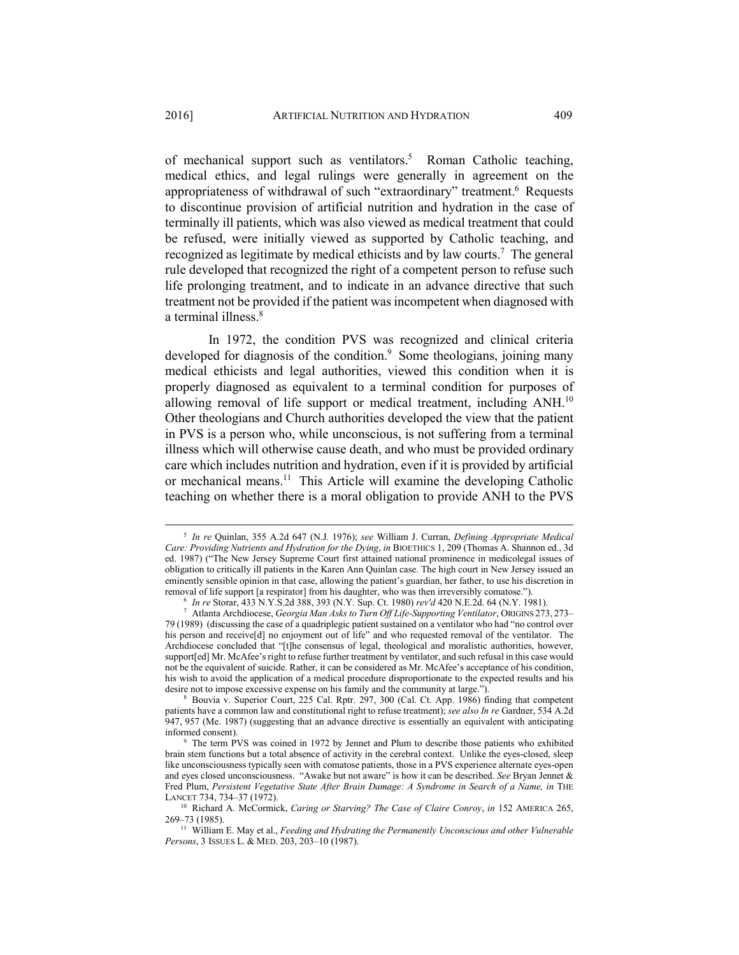of mechanical support such as ventilators.<sup>5</sup> Roman Catholic teaching, medical ethics, and legal rulings were generally in agreement on the appropriateness of withdrawal of such "extraordinary" treatment.<sup>6</sup> Requests to discontinue provision of artificial nutrition and hydration in the case of terminally ill patients, which was also viewed as medical treatment that could be refused, were initially viewed as supported by Catholic teaching, and recognized as legitimate by medical ethicists and by law courts.<sup>7</sup> The general rule developed that recognized the right of a competent person to refuse such life prolonging treatment, and to indicate in an advance directive that such treatment not be provided if the patient was incompetent when diagnosed with a terminal illness.<sup>8</sup>

In 1972, the condition PVS was recognized and clinical criteria developed for diagnosis of the condition.<sup>9</sup> Some theologians, joining many medical ethicists and legal authorities, viewed this condition when it is properly diagnosed as equivalent to a terminal condition for purposes of allowing removal of life support or medical treatment, including ANH.<sup>10</sup> Other theologians and Church authorities developed the view that the patient in PVS is a person who, while unconscious, is not suffering from a terminal illness which will otherwise cause death, and who must be provided ordinary care which includes nutrition and hydration, even if it is provided by artificial or mechanical means.11 This Article will examine the developing Catholic teaching on whether there is a moral obligation to provide ANH to the PVS

 <sup>5</sup> *In re* Quinlan, 355 A.2d 647 (N.J. 1976); *see* William J. Curran, *Defining Appropriate Medical Care: Providing Nutrients and Hydration for the Dying*, *in* BIOETHICS 1, 209 (Thomas A. Shannon ed., 3d ed. 1987) ("The New Jersey Supreme Court first attained national prominence in medicolegal issues of obligation to critically ill patients in the Karen Ann Quinlan case. The high court in New Jersey issued an eminently sensible opinion in that case, allowing the patient's guardian, her father, to use his discretion in removal of life support [a respirator] from his daughter, who was then irreversibly comatose."). 6 *In re* Storar, 433 N.Y.S.2d 388, 393 (N.Y. Sup. Ct. 1980) *rev'd* 420 N.E.2d. 64 (N.Y. 1981). 7

Atlanta Archdiocese, *Georgia Man Asks to Turn Off Life-Supporting Ventilator*, ORIGINS 273, 273– 79 (1989) (discussing the case of a quadriplegic patient sustained on a ventilator who had "no control over his person and receive[d] no enjoyment out of life" and who requested removal of the ventilator. The Archdiocese concluded that "[t]he consensus of legal, theological and moralistic authorities, however, support[ed] Mr. McAfee's right to refuse further treatment by ventilator, and such refusal in this case would not be the equivalent of suicide. Rather, it can be considered as Mr. McAfee's acceptance of his condition, his wish to avoid the application of a medical procedure disproportionate to the expected results and his desire not to impose excessive expense on his family and the community at large.").<br><sup>8</sup> Bouvia v. Superior Court, 225 Cal. Rptr. 297, 300 (Cal. Ct. App. 1986) finding that competent

patients have a common law and constitutional right to refuse treatment); *see also In re* Gardner, 534 A.2d 947, 957 (Me. 1987) (suggesting that an advance directive is essentially an equivalent with anticipating informed consent).

The term PVS was coined in 1972 by Jennet and Plum to describe those patients who exhibited brain stem functions but a total absence of activity in the cerebral context. Unlike the eyes-closed, sleep like unconsciousness typically seen with comatose patients, those in a PVS experience alternate eyes-open and eyes closed unconsciousness. "Awake but not aware" is how it can be described. *See* Bryan Jennet & Fred Plum, Persistent Vegetative State After Brain Damage: A Syndrome in Search of a Name, in THE

LANCET 734, 734–37 (1972).<br><sup>10</sup> Richard A. McCormick, *Caring or Starving? The Case of Claire Conroy*, *in* 152 AMERICA 265,<br>269–73 (1985).

<sup>&</sup>lt;sup>11</sup> William E. May et al., *Feeding and Hydrating the Permanently Unconscious and other Vulnerable Persons*, 3 ISSUES L. & MED. 203, 203–10 (1987).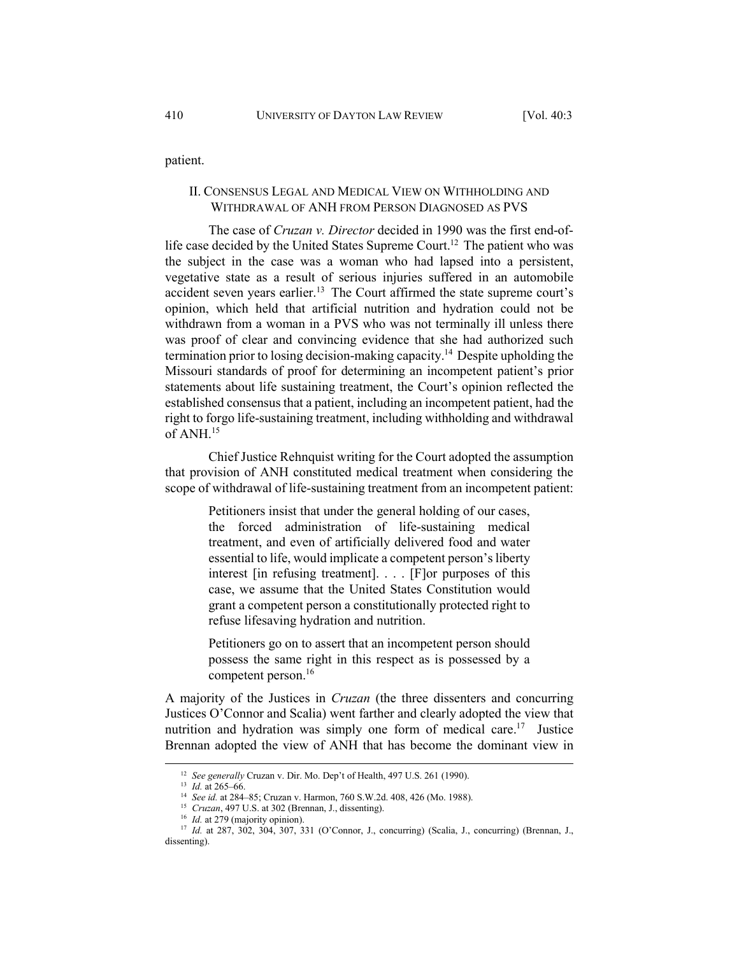patient.

### II. CONSENSUS LEGAL AND MEDICAL VIEW ON WITHHOLDING AND WITHDRAWAL OF ANH FROM PERSON DIAGNOSED AS PVS

The case of *Cruzan v. Director* decided in 1990 was the first end-oflife case decided by the United States Supreme Court.<sup>12</sup> The patient who was the subject in the case was a woman who had lapsed into a persistent, vegetative state as a result of serious injuries suffered in an automobile accident seven years earlier.<sup>13</sup> The Court affirmed the state supreme court's opinion, which held that artificial nutrition and hydration could not be withdrawn from a woman in a PVS who was not terminally ill unless there was proof of clear and convincing evidence that she had authorized such termination prior to losing decision-making capacity.14 Despite upholding the Missouri standards of proof for determining an incompetent patient's prior statements about life sustaining treatment, the Court's opinion reflected the established consensus that a patient, including an incompetent patient, had the right to forgo life-sustaining treatment, including withholding and withdrawal of ANH.15

Chief Justice Rehnquist writing for the Court adopted the assumption that provision of ANH constituted medical treatment when considering the scope of withdrawal of life-sustaining treatment from an incompetent patient:

> Petitioners insist that under the general holding of our cases, the forced administration of life-sustaining medical treatment, and even of artificially delivered food and water essential to life, would implicate a competent person's liberty interest [in refusing treatment]. . . . [F]or purposes of this case, we assume that the United States Constitution would grant a competent person a constitutionally protected right to refuse lifesaving hydration and nutrition.

> Petitioners go on to assert that an incompetent person should possess the same right in this respect as is possessed by a competent person.16

A majority of the Justices in *Cruzan* (the three dissenters and concurring Justices O'Connor and Scalia) went farther and clearly adopted the view that nutrition and hydration was simply one form of medical care.<sup>17</sup> Justice Brennan adopted the view of ANH that has become the dominant view in

<sup>&</sup>lt;sup>12</sup> See generally Cruzan v. Dir. Mo. Dep't of Health, 497 U.S. 261 (1990).<br><sup>13</sup> *Id.* at 265–66.<br><sup>14</sup> See id. at 284–85; Cruzan v. Harmon, 760 S.W.2d. 408, 426 (Mo. 1988).<br><sup>15</sup> *Cruzan*, 497 U.S. at 302 (Brennan, J., dis dissenting).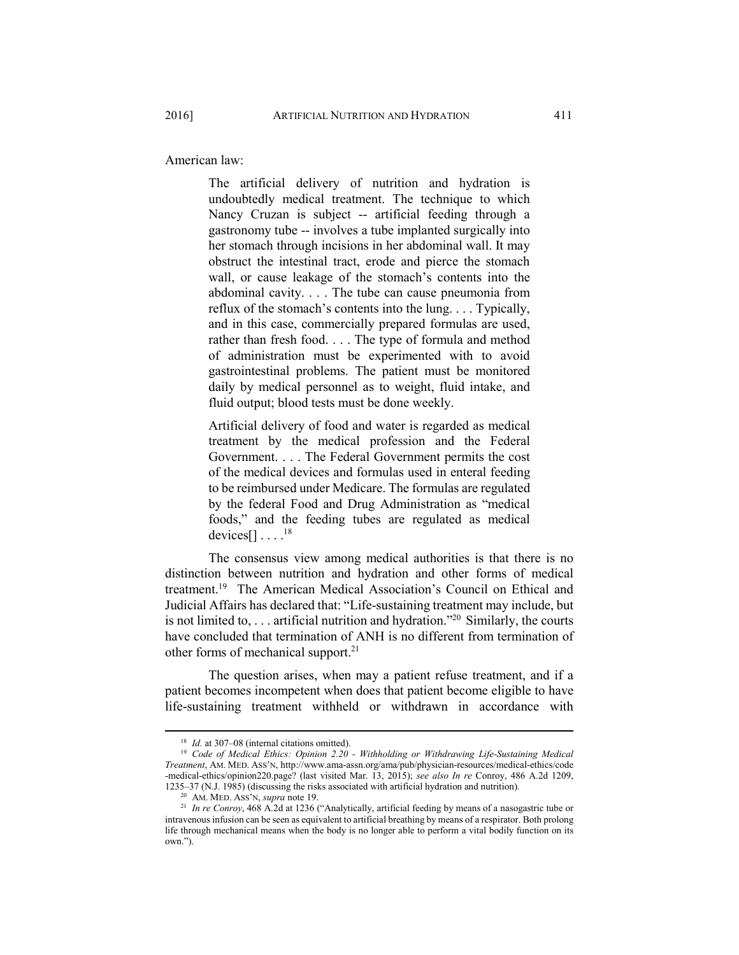American law:

The artificial delivery of nutrition and hydration is undoubtedly medical treatment. The technique to which Nancy Cruzan is subject -- artificial feeding through a gastronomy tube -- involves a tube implanted surgically into her stomach through incisions in her abdominal wall. It may obstruct the intestinal tract, erode and pierce the stomach wall, or cause leakage of the stomach's contents into the abdominal cavity. . . . The tube can cause pneumonia from reflux of the stomach's contents into the lung. . . . Typically, and in this case, commercially prepared formulas are used, rather than fresh food. . . . The type of formula and method of administration must be experimented with to avoid gastrointestinal problems. The patient must be monitored daily by medical personnel as to weight, fluid intake, and fluid output; blood tests must be done weekly.

Artificial delivery of food and water is regarded as medical treatment by the medical profession and the Federal Government. . . . The Federal Government permits the cost of the medical devices and formulas used in enteral feeding to be reimbursed under Medicare. The formulas are regulated by the federal Food and Drug Administration as "medical foods," and the feeding tubes are regulated as medical devices $[1 \ldots$ .<sup>18</sup>

The consensus view among medical authorities is that there is no distinction between nutrition and hydration and other forms of medical treatment.19 The American Medical Association's Council on Ethical and Judicial Affairs has declared that: "Life-sustaining treatment may include, but is not limited to, . . . artificial nutrition and hydration."20 Similarly, the courts have concluded that termination of ANH is no different from termination of other forms of mechanical support.<sup>21</sup>

The question arises, when may a patient refuse treatment, and if a patient becomes incompetent when does that patient become eligible to have life-sustaining treatment withheld or withdrawn in accordance with

<sup>&</sup>lt;sup>18</sup> *Id.* at 307–08 (internal citations omitted).<br><sup>19</sup> *Code of Medical Ethics: Opinion 2.20 - Withholding or Withdrawing Life-Sustaining Medical Treatment*, AM. MED. ASS'N, http://www.ama-assn.org/ama/pub/physician-resources/medical-ethics/code -medical-ethics/opinion220.page? (last visited Mar. 13, 2015); *see also In re* Conroy, 486 A.2d 1209,

<sup>&</sup>lt;sup>20</sup> AM. MED. ASS<sup>3</sup>N, *supra* note 19.<br><sup>21</sup> *In re Conroy*, 468 A.2d at 1236 ("Analytically, artificial feeding by means of a nasogastric tube or intravenous infusion can be seen as equivalent to artificial breathing by means of a respirator. Both prolong life through mechanical means when the body is no longer able to perform a vital bodily function on its own.").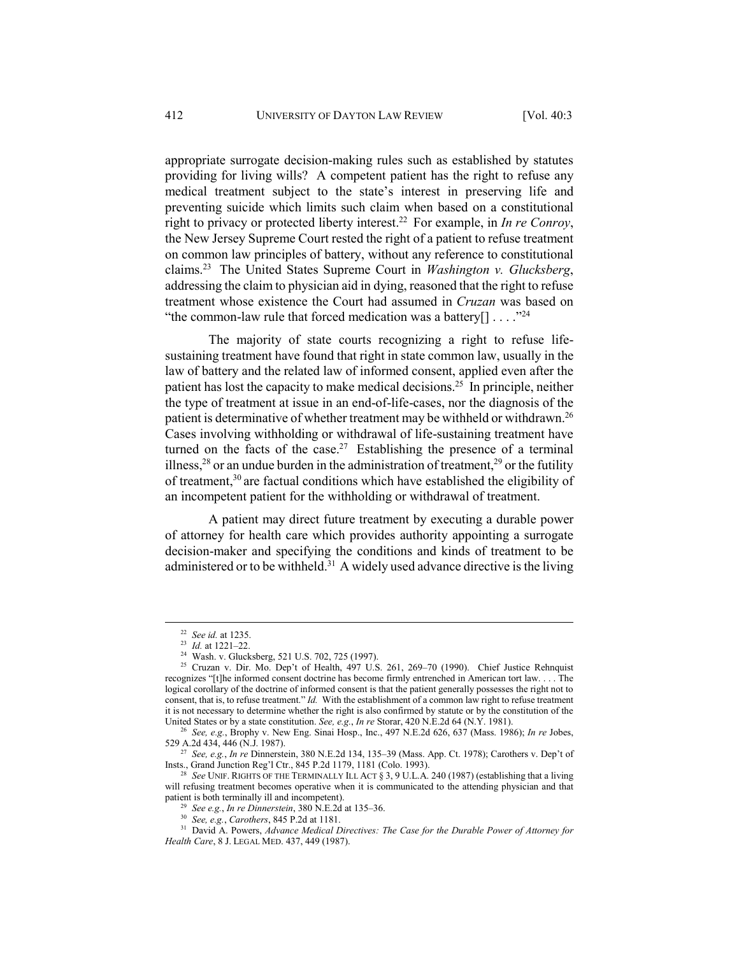appropriate surrogate decision-making rules such as established by statutes providing for living wills? A competent patient has the right to refuse any medical treatment subject to the state's interest in preserving life and preventing suicide which limits such claim when based on a constitutional right to privacy or protected liberty interest.22 For example, in *In re Conroy*, the New Jersey Supreme Court rested the right of a patient to refuse treatment on common law principles of battery, without any reference to constitutional claims.23 The United States Supreme Court in *Washington v. Glucksberg*, addressing the claim to physician aid in dying, reasoned that the right to refuse treatment whose existence the Court had assumed in *Cruzan* was based on "the common-law rule that forced medication was a battery $[ ] \ldots$ ."<sup>24</sup>

The majority of state courts recognizing a right to refuse lifesustaining treatment have found that right in state common law, usually in the law of battery and the related law of informed consent, applied even after the patient has lost the capacity to make medical decisions.25 In principle, neither the type of treatment at issue in an end-of-life-cases, nor the diagnosis of the patient is determinative of whether treatment may be withheld or withdrawn.<sup>26</sup> Cases involving withholding or withdrawal of life-sustaining treatment have turned on the facts of the case.<sup>27</sup> Establishing the presence of a terminal illness,<sup>28</sup> or an undue burden in the administration of treatment,<sup>29</sup> or the futility of treatment,30 are factual conditions which have established the eligibility of an incompetent patient for the withholding or withdrawal of treatment.

A patient may direct future treatment by executing a durable power of attorney for health care which provides authority appointing a surrogate decision-maker and specifying the conditions and kinds of treatment to be administered or to be withheld.<sup>31</sup> A widely used advance directive is the living

<sup>22</sup> *See id.* at 1235. 23 *Id.* at 1221–22. 24 Wash. v. Glucksberg, 521 U.S. 702, 725 (1997).

<sup>&</sup>lt;sup>25</sup> Cruzan v. Dir. Mo. Dep't of Health, 497 U.S. 261, 269-70 (1990). Chief Justice Rehnquist recognizes "[t]he informed consent doctrine has become firmly entrenched in American tort law. . . . The logical corollary of the doctrine of informed consent is that the patient generally possesses the right not to consent, that is, to refuse treatment." *Id.* With the establishment of a common law right to refuse treatment it is not necessary to determine whether the right is also confirmed by statute or by the constitution of the

United States or by a state constitution. *See, e.g., In re* Storar, 420 N.E.2d 64 (N.Y. 1981).<br><sup>26</sup> *See, e.g.*, Brophy v. New Eng. Sinai Hosp., Inc., 497 N.E.2d 626, 637 (Mass. 1986); *In re* Jobes, 529 A.2d 434, 446 (N.

<sup>&</sup>lt;sup>27</sup> See, e.g., *In re* Dinnerstein, 380 N.E.2d 134, 135–39 (Mass. App. Ct. 1978); Carothers v. Dep't of Insts., Grand Junction Reg'l Ctr., 845 P.2d 1179, 1181 (Colo. 1993).

See UNIF. RIGHTS OF THE TERMINALLY ILL ACT § 3, 9 U.L.A. 240 (1987) (establishing that a living will refusing treatment becomes operative when it is communicated to the attending physician and that patient is both terminally ill and incompetent).<br>
<sup>29</sup> See e.g., *In re Dinnerstein*, 380 N.E.2d at 135–36.<br>
<sup>30</sup> See, e.g., *Carothers*, 845 P.2d at 1181.<br>
<sup>31</sup> David A. Powers, *Advance Medical Directives: The Case for t* 

*Health Care*, 8 J. LEGAL MED. 437, 449 (1987).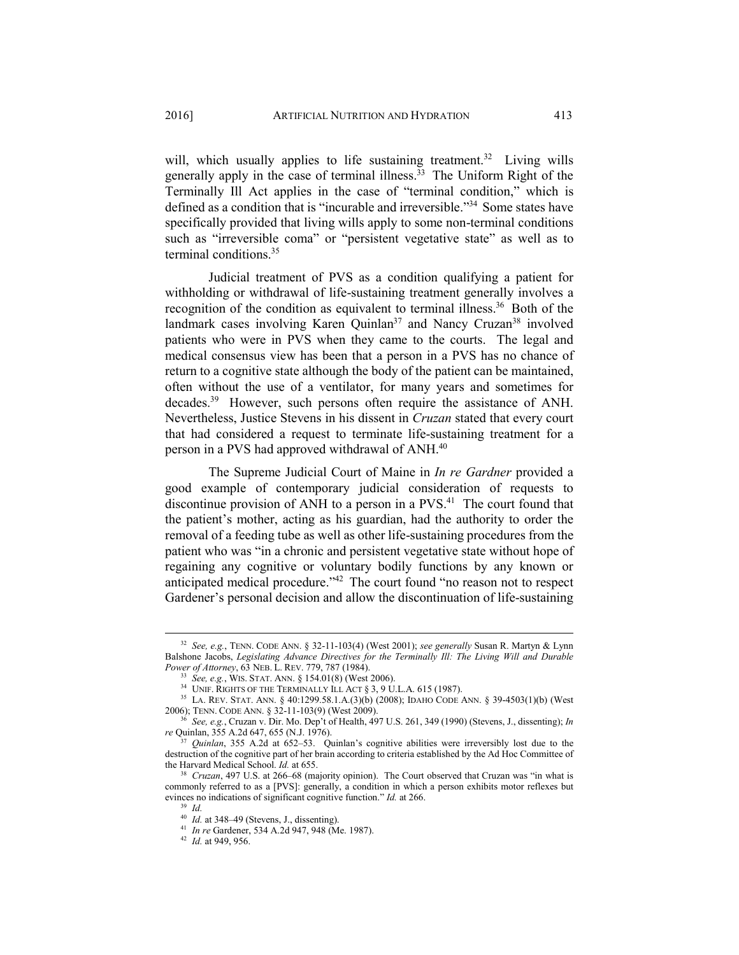will, which usually applies to life sustaining treatment.<sup>32</sup> Living wills generally apply in the case of terminal illness.<sup> $33$ </sup> The Uniform Right of the Terminally Ill Act applies in the case of "terminal condition," which is defined as a condition that is "incurable and irreversible."34 Some states have specifically provided that living wills apply to some non-terminal conditions such as "irreversible coma" or "persistent vegetative state" as well as to terminal conditions.35

Judicial treatment of PVS as a condition qualifying a patient for withholding or withdrawal of life-sustaining treatment generally involves a recognition of the condition as equivalent to terminal illness.<sup>36</sup> Both of the landmark cases involving Karen Quinlan<sup>37</sup> and Nancy Cruzan<sup>38</sup> involved patients who were in PVS when they came to the courts. The legal and medical consensus view has been that a person in a PVS has no chance of return to a cognitive state although the body of the patient can be maintained, often without the use of a ventilator, for many years and sometimes for decades.<sup>39</sup> However, such persons often require the assistance of ANH. Nevertheless, Justice Stevens in his dissent in *Cruzan* stated that every court that had considered a request to terminate life-sustaining treatment for a person in a PVS had approved withdrawal of ANH.<sup>40</sup>

The Supreme Judicial Court of Maine in *In re Gardner* provided a good example of contemporary judicial consideration of requests to discontinue provision of ANH to a person in a PVS.<sup>41</sup> The court found that the patient's mother, acting as his guardian, had the authority to order the removal of a feeding tube as well as other life-sustaining procedures from the patient who was "in a chronic and persistent vegetative state without hope of regaining any cognitive or voluntary bodily functions by any known or anticipated medical procedure."42 The court found "no reason not to respect Gardener's personal decision and allow the discontinuation of life-sustaining

 <sup>32</sup> *See, e.g.*, TENN. CODE ANN. § 32-11-103(4) (West 2001); *see generally* Susan R. Martyn & Lynn Balshone Jacobs, *Legislating Advance Directives for the Terminally Ill: The Living Will and Durable* 

*Power of Attorney*, 63 NEB. L. REV. 779, 787 (1984).<br>
<sup>33</sup> *See, e.g.*, Wis. Stat. Ann. § 154.01(8) (West 2006).<br>
<sup>34</sup> UNIF. RIGHTS OF THE TERMINALLY ILL ACT § 3, 9 U.L.A. 615 (1987).<br>
<sup>35</sup> LA. REV. STAT. ANN. § 40:1299.5

<sup>&</sup>lt;sup>36</sup> See, e.g., Cruzan v. Dir. Mo. Dep't of Health, 497 U.S. 261, 349 (1990) (Stevens, J., dissenting); *In re* Ouinlan, 355 A.2d 647, 655 (N.J. 1976).

*Quinlan*, 355 A.2d at 652-53. Quinlan's cognitive abilities were irreversibly lost due to the destruction of the cognitive part of her brain according to criteria established by the Ad Hoc Committee of the Harvard Medical School. *Id.* at 655.

<sup>&</sup>lt;sup>38</sup> *Cruzan*, 497 U.S. at 266–68 (majority opinion). The Court observed that Cruzan was "in what is commonly referred to as a [PVS]: generally, a condition in which a person exhibits motor reflexes but evinces no indications of significant cognitive function." *Id.* at 266. <sup>39</sup> *Id.* at 348–49 (Stevens, J., dissenting).

<sup>40</sup> *Id.* at 348–49 (Stevens, J., dissenting). 41 *In re* Gardener, 534 A.2d 947, 948 (Me. 1987). 42 *Id.* at 949, 956.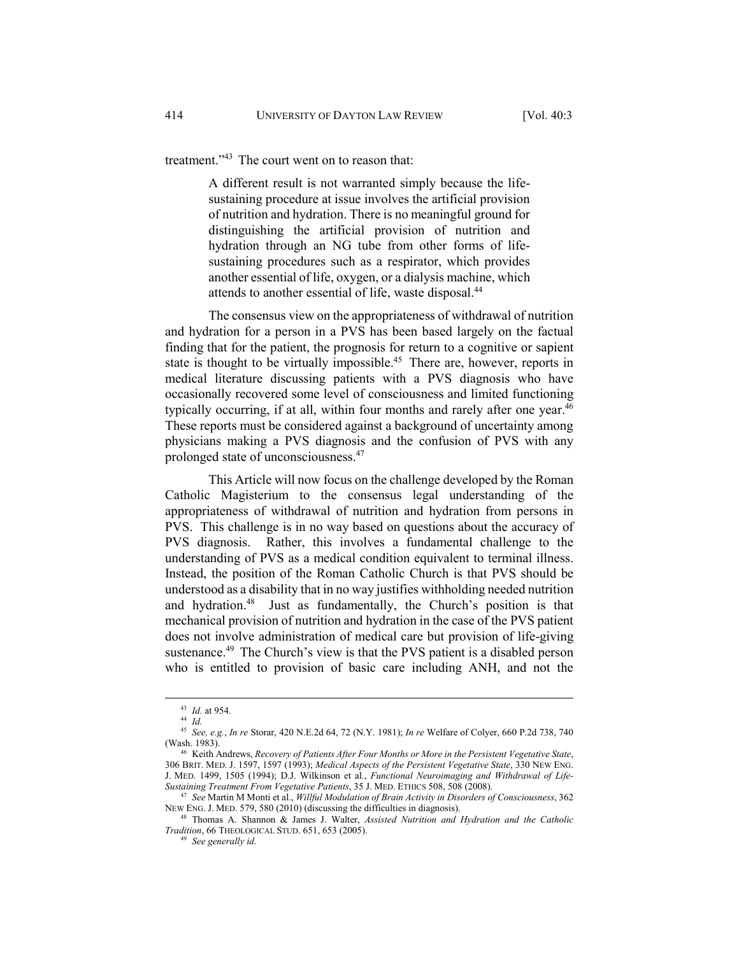treatment."<sup>43</sup> The court went on to reason that:

A different result is not warranted simply because the lifesustaining procedure at issue involves the artificial provision of nutrition and hydration. There is no meaningful ground for distinguishing the artificial provision of nutrition and hydration through an NG tube from other forms of lifesustaining procedures such as a respirator, which provides another essential of life, oxygen, or a dialysis machine, which attends to another essential of life, waste disposal.44

The consensus view on the appropriateness of withdrawal of nutrition and hydration for a person in a PVS has been based largely on the factual finding that for the patient, the prognosis for return to a cognitive or sapient state is thought to be virtually impossible.<sup>45</sup> There are, however, reports in medical literature discussing patients with a PVS diagnosis who have occasionally recovered some level of consciousness and limited functioning typically occurring, if at all, within four months and rarely after one year.<sup>46</sup> These reports must be considered against a background of uncertainty among physicians making a PVS diagnosis and the confusion of PVS with any prolonged state of unconsciousness.47

This Article will now focus on the challenge developed by the Roman Catholic Magisterium to the consensus legal understanding of the appropriateness of withdrawal of nutrition and hydration from persons in PVS. This challenge is in no way based on questions about the accuracy of PVS diagnosis. Rather, this involves a fundamental challenge to the understanding of PVS as a medical condition equivalent to terminal illness. Instead, the position of the Roman Catholic Church is that PVS should be understood as a disability that in no way justifies withholding needed nutrition and hydration.<sup>48</sup> Just as fundamentally, the Church's position is that mechanical provision of nutrition and hydration in the case of the PVS patient does not involve administration of medical care but provision of life-giving sustenance.<sup>49</sup> The Church's view is that the PVS patient is a disabled person who is entitled to provision of basic care including ANH, and not the

<sup>43</sup> *Id.* at 954. 44 *Id.*

<sup>45</sup> *See, e.g.*, *In re* Storar, 420 N.E.2d 64, 72 (N.Y. 1981); *In re* Welfare of Colyer, 660 P.2d 738, 740 (Wash. 1983). 46 Keith Andrews, *Recovery of Patients After Four Months or More in the Persistent Vegetative State*,

<sup>306</sup> BRIT. MED. J. 1597, 1597 (1993); *Medical Aspects of the Persistent Vegetative State*, 330 NEW ENG. J. MED. 1499, 1505 (1994); D.J. Wilkinson et al., *Functional Neuroimaging and Withdrawal of Life-*

*Sustaining Treatment From Vegetative Patients*, 35 J. MED. ETHICS 508, 508 (2008).<br><sup>47</sup> *See* Martin M Monti et al., *Willful Modulation of Brain Activity in Disorders of Consciousness*, 362<br>NEW ENG. J. MED. 579, 580 (201

<sup>&</sup>lt;sup>48</sup> Thomas A. Shannon & James J. Walter, *Assisted Nutrition and Hydration and the Catholic Tradition*, 66 THEOLOGICAL STUD. 651, 653 (2005). 49 *See generally id.*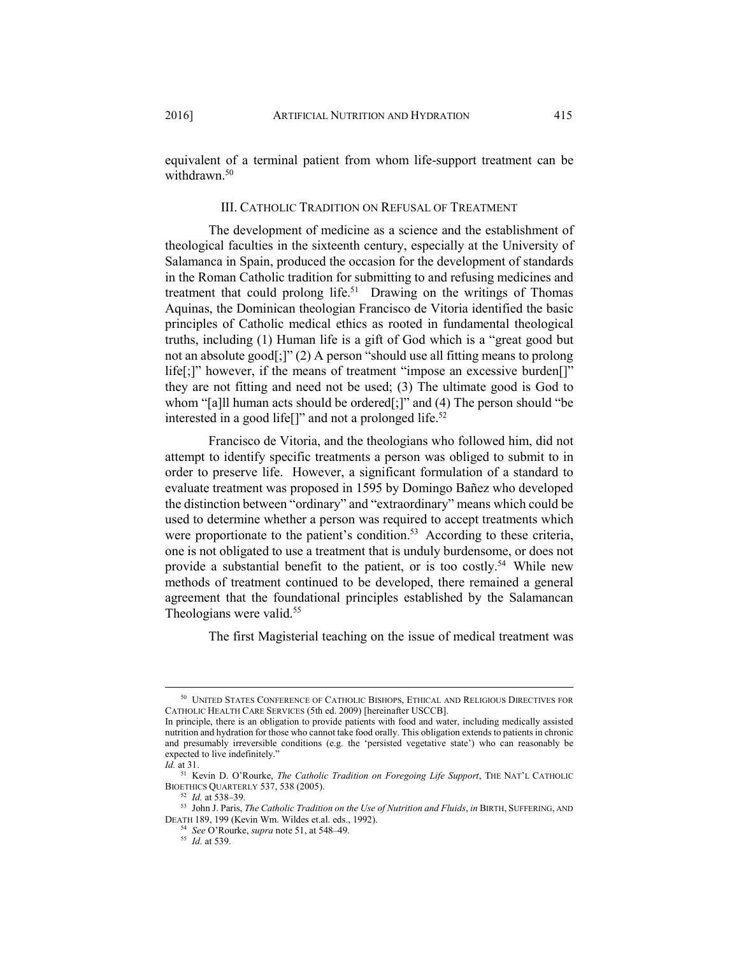equivalent of a terminal patient from whom life-support treatment can be withdrawn<sup>50</sup>

#### III. CATHOLIC TRADITION ON REFUSAL OF TREATMENT

The development of medicine as a science and the establishment of theological faculties in the sixteenth century, especially at the University of Salamanca in Spain, produced the occasion for the development of standards in the Roman Catholic tradition for submitting to and refusing medicines and treatment that could prolong life.<sup>51</sup> Drawing on the writings of Thomas Aquinas, the Dominican theologian Francisco de Vitoria identified the basic principles of Catholic medical ethics as rooted in fundamental theological truths, including (1) Human life is a gift of God which is a "great good but not an absolute good[;]" (2) A person "should use all fitting means to prolong life[;]" however, if the means of treatment "impose an excessive burden[]" they are not fitting and need not be used; (3) The ultimate good is God to whom "[a]ll human acts should be ordered[;]" and (4) The person should "be interested in a good life<sup>[]"</sup> and not a prolonged life.<sup>52</sup>

Francisco de Vitoria, and the theologians who followed him, did not attempt to identify specific treatments a person was obliged to submit to in order to preserve life. However, a significant formulation of a standard to evaluate treatment was proposed in 1595 by Domingo Bañez who developed the distinction between "ordinary" and "extraordinary" means which could be used to determine whether a person was required to accept treatments which were proportionate to the patient's condition.<sup>53</sup> According to these criteria, one is not obligated to use a treatment that is unduly burdensome, or does not provide a substantial benefit to the patient, or is too costly.54 While new methods of treatment continued to be developed, there remained a general agreement that the foundational principles established by the Salamancan Theologians were valid.<sup>55</sup>

The first Magisterial teaching on the issue of medical treatment was

 <sup>50</sup> UNITED STATES CONFERENCE OF CATHOLIC BISHOPS, ETHICAL AND RELIGIOUS DIRECTIVES FOR CATHOLIC HEALTH CARE SERVICES (5th ed. 2009) [hereinafter USCCB].

In principle, there is an obligation to provide patients with food and water, including medically assisted nutrition and hydration for those who cannot take food orally. This obligation extends to patients in chronic and presumably irreversible conditions (e.g. the 'persisted vegetative state') who can reasonably be expected to live indefinitely."

*Id.* at 31.

<sup>51</sup> Kevin D. O'Rourke, *The Catholic Tradition on Foregoing Life Support*, THE NAT'L CATHOLIC BIOETHICS QUARTERLY 537, 538 (2005). 52 *Id.* at 538–39. 53 John J. Paris, *The Catholic Tradition on the Use of Nutrition and Fluids*, *in* BIRTH, SUFFERING, AND

DEATH 189, 199 (Kevin Wm. Wildes et.al. eds., 1992). 54 *See* O'Rourke, *supra* note 51, at 548–49. 55 *Id.* at 539.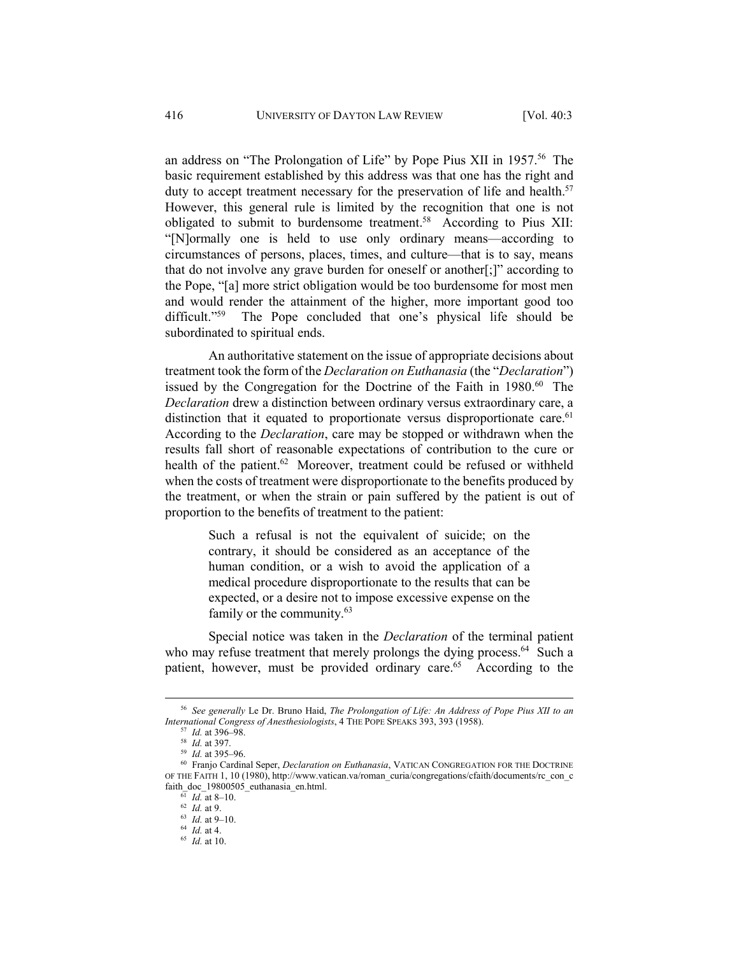an address on "The Prolongation of Life" by Pope Pius XII in 1957.<sup>56</sup> The basic requirement established by this address was that one has the right and duty to accept treatment necessary for the preservation of life and health.<sup>57</sup> However, this general rule is limited by the recognition that one is not obligated to submit to burdensome treatment.<sup>58</sup> According to Pius XII: "[N]ormally one is held to use only ordinary means—according to circumstances of persons, places, times, and culture—that is to say, means that do not involve any grave burden for oneself or another[;]" according to the Pope, "[a] more strict obligation would be too burdensome for most men and would render the attainment of the higher, more important good too difficult."59 The Pope concluded that one's physical life should be subordinated to spiritual ends.

An authoritative statement on the issue of appropriate decisions about treatment took the form of the *Declaration on Euthanasia* (the "*Declaration*") issued by the Congregation for the Doctrine of the Faith in 1980.<sup>60</sup> The *Declaration* drew a distinction between ordinary versus extraordinary care, a distinction that it equated to proportionate versus disproportionate care.<sup>61</sup> According to the *Declaration*, care may be stopped or withdrawn when the results fall short of reasonable expectations of contribution to the cure or health of the patient.<sup>62</sup> Moreover, treatment could be refused or withheld when the costs of treatment were disproportionate to the benefits produced by the treatment, or when the strain or pain suffered by the patient is out of proportion to the benefits of treatment to the patient:

> Such a refusal is not the equivalent of suicide; on the contrary, it should be considered as an acceptance of the human condition, or a wish to avoid the application of a medical procedure disproportionate to the results that can be expected, or a desire not to impose excessive expense on the family or the community.63

Special notice was taken in the *Declaration* of the terminal patient who may refuse treatment that merely prolongs the dying process.<sup>64</sup> Such a patient, however, must be provided ordinary care.<sup>65</sup> According to the

 <sup>56</sup> *See generally* Le Dr. Bruno Haid, *The Prolongation of Life: An Address of Pope Pius XII to an International Congress of Anesthesiologists*, 4 THE POPE SPEAKS 393, 393 (1958).<br><sup>57</sup> *Id.* at 396–98.<br><sup>58</sup> *Id.* at 397.<br><sup>59</sup> *Id.* at 395–96.<br><sup>60</sup> Franjo Cardinal Seper, *Declaration on Euthanasia*, VATICAN CONGREGATION

OF THE FAITH 1, 10 (1980), http://www.vatican.va/roman\_curia/congregations/cfaith/documents/rc\_con\_c faith\_doc\_19800505\_euthanasia\_en.html. 61 *Id.* at 8–10. 62 *Id.* at 9. 63 *Id.* at 9–10. 64 *Id.* at 4. 65 *Id.* at 10.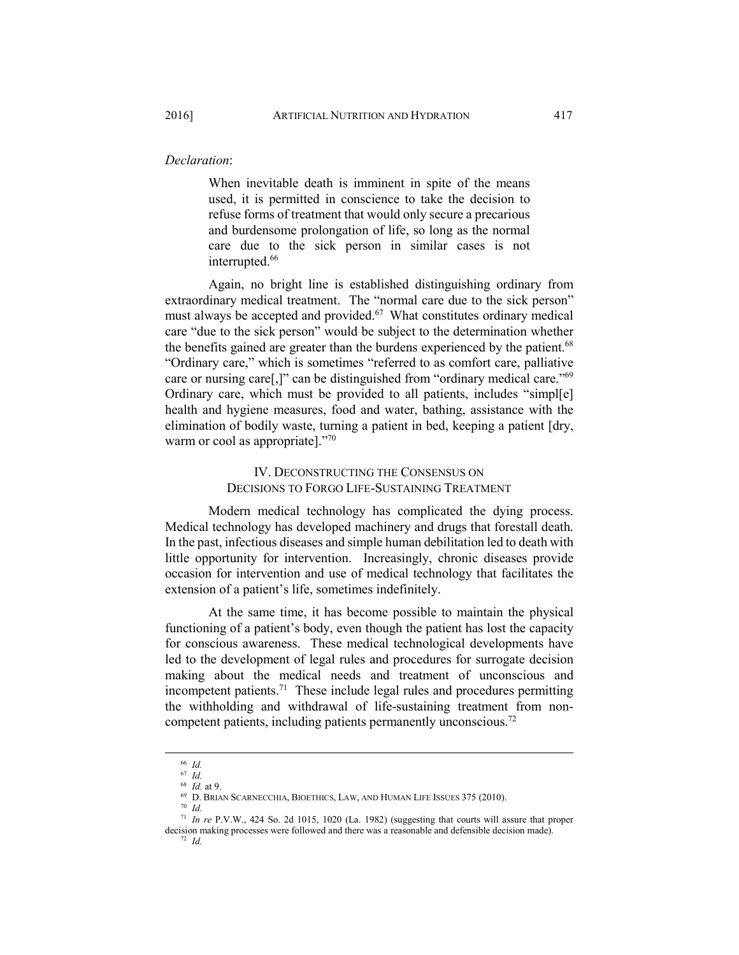## *Declaration*:

When inevitable death is imminent in spite of the means used, it is permitted in conscience to take the decision to refuse forms of treatment that would only secure a precarious and burdensome prolongation of life, so long as the normal care due to the sick person in similar cases is not interrupted.<sup>66</sup>

Again, no bright line is established distinguishing ordinary from extraordinary medical treatment. The "normal care due to the sick person" must always be accepted and provided.<sup>67</sup> What constitutes ordinary medical care "due to the sick person" would be subject to the determination whether the benefits gained are greater than the burdens experienced by the patient.<sup>68</sup> "Ordinary care," which is sometimes "referred to as comfort care, palliative care or nursing care[,]" can be distinguished from "ordinary medical care."69 Ordinary care, which must be provided to all patients, includes "simpl[e] health and hygiene measures, food and water, bathing, assistance with the elimination of bodily waste, turning a patient in bed, keeping a patient [dry, warm or cool as appropriate]."70

# IV. DECONSTRUCTING THE CONSENSUS ON DECISIONS TO FORGO LIFE-SUSTAINING TREATMENT

Modern medical technology has complicated the dying process. Medical technology has developed machinery and drugs that forestall death. In the past, infectious diseases and simple human debilitation led to death with little opportunity for intervention. Increasingly, chronic diseases provide occasion for intervention and use of medical technology that facilitates the extension of a patient's life, sometimes indefinitely.

At the same time, it has become possible to maintain the physical functioning of a patient's body, even though the patient has lost the capacity for conscious awareness. These medical technological developments have led to the development of legal rules and procedures for surrogate decision making about the medical needs and treatment of unconscious and incompetent patients.71 These include legal rules and procedures permitting the withholding and withdrawal of life-sustaining treatment from noncompetent patients, including patients permanently unconscious.72

 <sup>66</sup> *Id.*

 $\begin{array}{c} 67 \ \text{Id.} \\ 68 \ \text{Id.} \ \text{at } 9. \end{array}$ 

 $^{69}$  D. BRIAN SCARNECCHIA, BIOETHICS, LAW, AND HUMAN LIFE ISSUES 375 (2010).  $^{70}$   $\emph{Id.}$ 

<sup>71</sup> *In re* P.V.W., 424 So. 2d 1015, 1020 (La. 1982) (suggesting that courts will assure that proper decision making processes were followed and there was a reasonable and defensible decision made). 72 *Id.*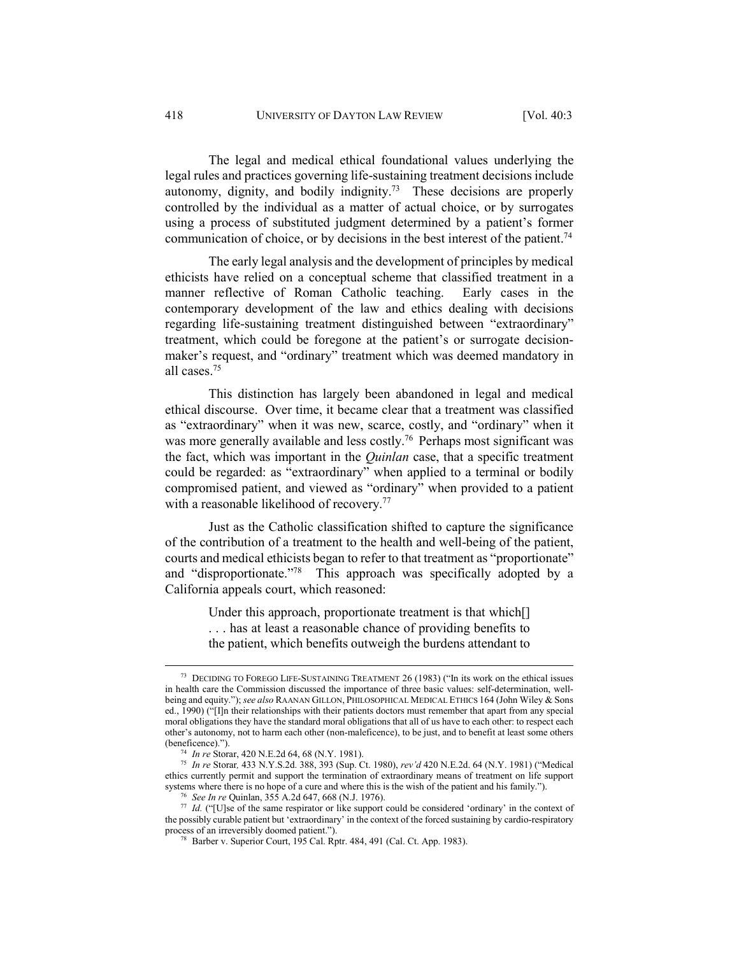The legal and medical ethical foundational values underlying the legal rules and practices governing life-sustaining treatment decisions include autonomy, dignity, and bodily indignity.73 These decisions are properly controlled by the individual as a matter of actual choice, or by surrogates using a process of substituted judgment determined by a patient's former communication of choice, or by decisions in the best interest of the patient.<sup>74</sup>

The early legal analysis and the development of principles by medical ethicists have relied on a conceptual scheme that classified treatment in a manner reflective of Roman Catholic teaching. Early cases in the contemporary development of the law and ethics dealing with decisions regarding life-sustaining treatment distinguished between "extraordinary" treatment, which could be foregone at the patient's or surrogate decisionmaker's request, and "ordinary" treatment which was deemed mandatory in all cases.75

This distinction has largely been abandoned in legal and medical ethical discourse. Over time, it became clear that a treatment was classified as "extraordinary" when it was new, scarce, costly, and "ordinary" when it was more generally available and less costly.<sup>76</sup> Perhaps most significant was the fact, which was important in the *Quinlan* case, that a specific treatment could be regarded: as "extraordinary" when applied to a terminal or bodily compromised patient, and viewed as "ordinary" when provided to a patient with a reasonable likelihood of recovery.<sup>77</sup>

Just as the Catholic classification shifted to capture the significance of the contribution of a treatment to the health and well-being of the patient, courts and medical ethicists began to refer to that treatment as "proportionate" and "disproportionate."78 This approach was specifically adopted by a California appeals court, which reasoned:

> Under this approach, proportionate treatment is that which[] . . . has at least a reasonable chance of providing benefits to the patient, which benefits outweigh the burdens attendant to

 <sup>73</sup> DECIDING TO FOREGO LIFE-SUSTAINING TREATMENT 26 (1983) ("In its work on the ethical issues in health care the Commission discussed the importance of three basic values: self-determination, wellbeing and equity."); *see also* RAANAN GILLON, PHILOSOPHICAL MEDICAL ETHICS 164 (John Wiley & Sons ed., 1990) ("[I]n their relationships with their patients doctors must remember that apart from any special moral obligations they have the standard moral obligations that all of us have to each other: to respect each other's autonomy, not to harm each other (non-maleficence), to be just, and to benefit at least some others

<sup>(</sup>beneficence)."). 74 *In re* Storar, 420 N.E.2d 64, 68 (N.Y. 1981). 75 *In re* Storar*,* 433 N.Y.S.2d. 388, 393 (Sup. Ct. 1980), *rev'd* 420 N.E.2d. 64 (N.Y. 1981) ("Medical ethics currently permit and support the termination of extraordinary means of treatment on life support systems where there is no hope of a cure and where this is the wish of the patient and his family.").<br><sup>76</sup> See In re Quinlan, 355 A.2d 647, 668 (N.J. 1976).<br><sup>77</sup> Id. ("[U]se of the same respirator or like support could be

the possibly curable patient but 'extraordinary' in the context of the forced sustaining by cardio-respiratory process of an irreversibly doomed patient.").<br><sup>78</sup> Barber v. Superior Court, 195 Cal. Rptr. 484, 491 (Cal. Ct. App. 1983).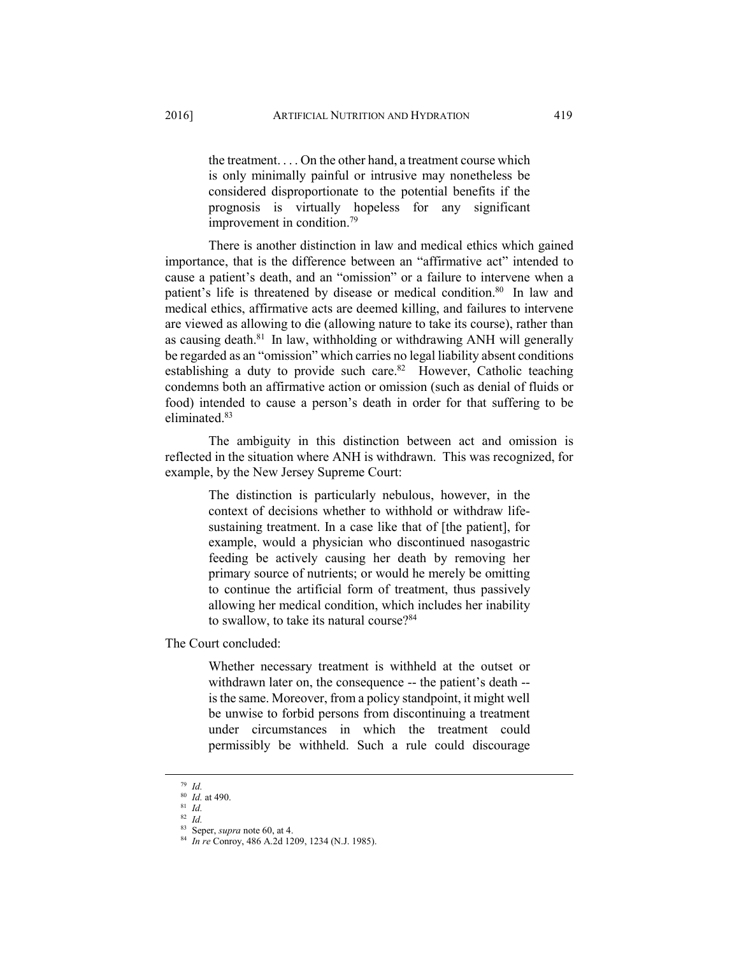the treatment. . . . On the other hand, a treatment course which is only minimally painful or intrusive may nonetheless be considered disproportionate to the potential benefits if the prognosis is virtually hopeless for any significant improvement in condition.79

There is another distinction in law and medical ethics which gained importance, that is the difference between an "affirmative act" intended to cause a patient's death, and an "omission" or a failure to intervene when a patient's life is threatened by disease or medical condition.<sup>80</sup> In law and medical ethics, affirmative acts are deemed killing, and failures to intervene are viewed as allowing to die (allowing nature to take its course), rather than as causing death. $81$  In law, withholding or withdrawing ANH will generally be regarded as an "omission" which carries no legal liability absent conditions establishing a duty to provide such care.<sup>82</sup> However, Catholic teaching condemns both an affirmative action or omission (such as denial of fluids or food) intended to cause a person's death in order for that suffering to be eliminated.<sup>83</sup>

The ambiguity in this distinction between act and omission is reflected in the situation where ANH is withdrawn. This was recognized, for example, by the New Jersey Supreme Court:

> The distinction is particularly nebulous, however, in the context of decisions whether to withhold or withdraw lifesustaining treatment. In a case like that of [the patient], for example, would a physician who discontinued nasogastric feeding be actively causing her death by removing her primary source of nutrients; or would he merely be omitting to continue the artificial form of treatment, thus passively allowing her medical condition, which includes her inability to swallow, to take its natural course?<sup>84</sup>

The Court concluded:

Whether necessary treatment is withheld at the outset or withdrawn later on, the consequence -- the patient's death - is the same. Moreover, from a policy standpoint, it might well be unwise to forbid persons from discontinuing a treatment under circumstances in which the treatment could permissibly be withheld. Such a rule could discourage

 <sup>79</sup> *Id.* 

<sup>80</sup> *Id.* at 490.<br>
81 *Id.*<br>
82 *Id.*<br>
83 Seper, *supra* note 60, at 4.

<sup>&</sup>lt;sup>84</sup> In re Conroy, 486 A.2d 1209, 1234 (N.J. 1985).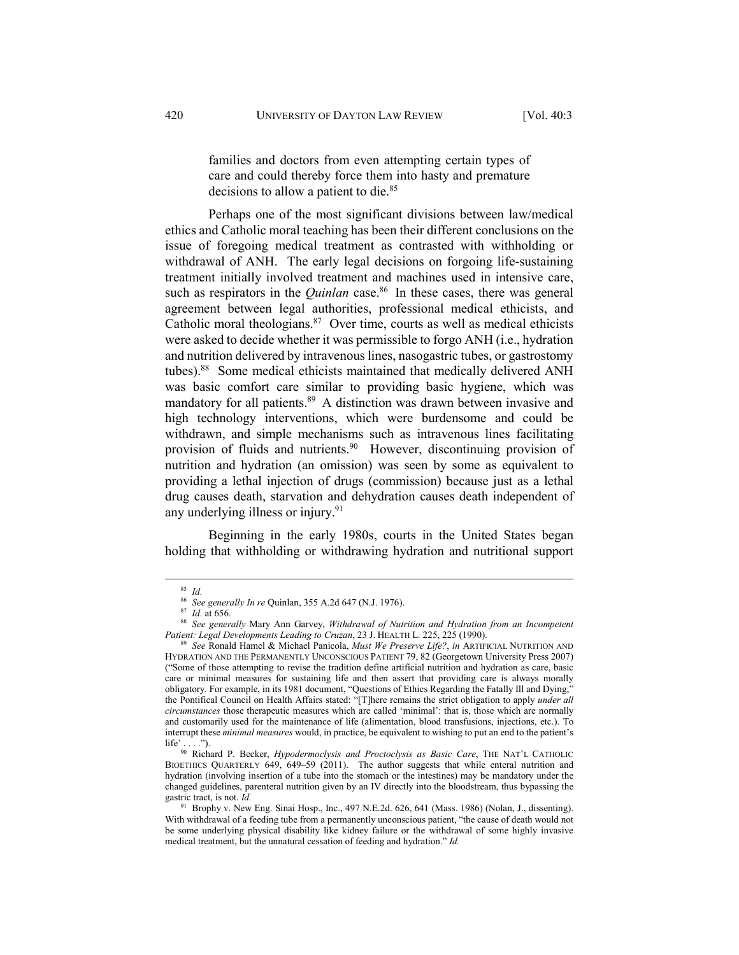families and doctors from even attempting certain types of care and could thereby force them into hasty and premature decisions to allow a patient to die.<sup>85</sup>

Perhaps one of the most significant divisions between law/medical ethics and Catholic moral teaching has been their different conclusions on the issue of foregoing medical treatment as contrasted with withholding or withdrawal of ANH. The early legal decisions on forgoing life-sustaining treatment initially involved treatment and machines used in intensive care, such as respirators in the *Quinlan* case.<sup>86</sup> In these cases, there was general agreement between legal authorities, professional medical ethicists, and Catholic moral theologians. $87$  Over time, courts as well as medical ethicists were asked to decide whether it was permissible to forgo ANH (i.e., hydration and nutrition delivered by intravenous lines, nasogastric tubes, or gastrostomy tubes).<sup>88</sup> Some medical ethicists maintained that medically delivered ANH was basic comfort care similar to providing basic hygiene, which was mandatory for all patients.<sup>89</sup> A distinction was drawn between invasive and high technology interventions, which were burdensome and could be withdrawn, and simple mechanisms such as intravenous lines facilitating provision of fluids and nutrients.<sup>90</sup> However, discontinuing provision of nutrition and hydration (an omission) was seen by some as equivalent to providing a lethal injection of drugs (commission) because just as a lethal drug causes death, starvation and dehydration causes death independent of any underlying illness or injury.<sup>91</sup>

Beginning in the early 1980s, courts in the United States began holding that withholding or withdrawing hydration and nutritional support

<sup>&</sup>lt;sup>85</sup> *Id.*<br><sup>86</sup> *See generally In re* Quinlan, 355 A.2d 647 (N.J. 1976).<br><sup>87</sup> *Id.* at 656. 88 *See generally Mary Ann Garvey, Withdrawal of Nutrition and Hydration from an Incompetent Patient: Legal Developments Leading t* 

*Patient: Legal Developments Leading to Cruzan*, 23 J. HEALTH L. 225, 225 (1990). 89 *See* Ronald Hamel & Michael Panicola, *Must We Preserve Life?*, *in* ARTIFICIAL NUTRITION AND HYDRATION AND THE PERMANENTLY UNCONSCIOUS PATIENT 79, 82 (Georgetown University Press 2007) ("Some of those attempting to revise the tradition define artificial nutrition and hydration as care, basic care or minimal measures for sustaining life and then assert that providing care is always morally obligatory. For example, in its 1981 document, "Questions of Ethics Regarding the Fatally Ill and Dying," the Pontifical Council on Health Affairs stated: "[T]here remains the strict obligation to apply *under all circumstances* those therapeutic measures which are called 'minimal': that is, those which are normally and customarily used for the maintenance of life (alimentation, blood transfusions, injections, etc.). To interrupt these *minimal measures* would, in practice, be equivalent to wishing to put an end to the patient's

life' . . . ."). 90 Richard P. Becker, *Hypodermoclysis and Proctoclysis as Basic Care*, THE NAT'L CATHOLIC BIOETHICS QUARTERLY 649, 649–59 (2011). The author suggests that while enteral nutrition and hydration (involving insertion of a tube into the stomach or the intestines) may be mandatory under the changed guidelines, parenteral nutrition given by an IV directly into the bloodstream, thus bypassing the gastric tract, is not. *Id.* 91 Brophy v. New Eng. Sinai Hosp., Inc., 497 N.E.2d. 626, 641 (Mass. 1986) (Nolan, J., dissenting).

With withdrawal of a feeding tube from a permanently unconscious patient, "the cause of death would not be some underlying physical disability like kidney failure or the withdrawal of some highly invasive medical treatment, but the unnatural cessation of feeding and hydration." *Id.*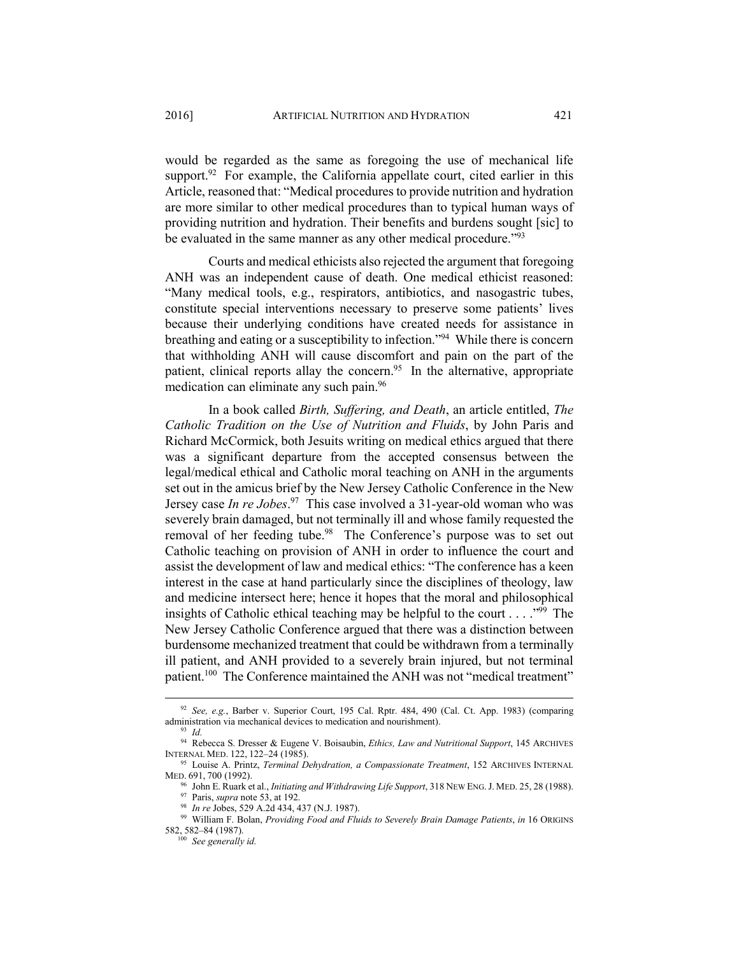would be regarded as the same as foregoing the use of mechanical life support.<sup>92</sup> For example, the California appellate court, cited earlier in this Article, reasoned that: "Medical procedures to provide nutrition and hydration are more similar to other medical procedures than to typical human ways of providing nutrition and hydration. Their benefits and burdens sought [sic] to be evaluated in the same manner as any other medical procedure."<sup>93</sup>

Courts and medical ethicists also rejected the argument that foregoing ANH was an independent cause of death. One medical ethicist reasoned: "Many medical tools, e.g., respirators, antibiotics, and nasogastric tubes, constitute special interventions necessary to preserve some patients' lives because their underlying conditions have created needs for assistance in breathing and eating or a susceptibility to infection."94 While there is concern that withholding ANH will cause discomfort and pain on the part of the patient, clinical reports allay the concern.<sup>95</sup> In the alternative, appropriate medication can eliminate any such pain.96

In a book called *Birth, Suffering, and Death*, an article entitled, *The Catholic Tradition on the Use of Nutrition and Fluids*, by John Paris and Richard McCormick, both Jesuits writing on medical ethics argued that there was a significant departure from the accepted consensus between the legal/medical ethical and Catholic moral teaching on ANH in the arguments set out in the amicus brief by the New Jersey Catholic Conference in the New Jersey case *In re Jobes*. 97 This case involved a 31-year-old woman who was severely brain damaged, but not terminally ill and whose family requested the removal of her feeding tube.<sup>98</sup> The Conference's purpose was to set out Catholic teaching on provision of ANH in order to influence the court and assist the development of law and medical ethics: "The conference has a keen interest in the case at hand particularly since the disciplines of theology, law and medicine intersect here; hence it hopes that the moral and philosophical insights of Catholic ethical teaching may be helpful to the court . . . . "99 The New Jersey Catholic Conference argued that there was a distinction between burdensome mechanized treatment that could be withdrawn from a terminally ill patient, and ANH provided to a severely brain injured, but not terminal patient.<sup>100</sup> The Conference maintained the ANH was not "medical treatment"

 <sup>92</sup> *See, e.g.*, Barber v. Superior Court, 195 Cal. Rptr. 484, 490 (Cal. Ct. App. 1983) (comparing

administration via mechanical devices to medication and nourishment).<br><sup>93</sup> *Id.* 94 Rebecca S. Dresser & Eugene V. Boisaubin, *Ethics, Law and Nutritional Support*, 145 ARCHIVES<br>INTERNAL MED. 122, 122–24 (1985).

<sup>&</sup>lt;sup>95</sup> Louise A. Printz, *Terminal Dehydration, a Compassionate Treatment*, 152 ARCHIVES INTERNAL

MED. 691, 700 (1992).<br><sup>96</sup> John E. Ruark et al., *Initiating and Withdrawing Life Support*, 318 NEW ENG. J. MED. 25, 28 (1988).<br><sup>97</sup> Paris, *supra* note 53, at 192.<br><sup>98</sup> *In re* Jobes, 529 A.2d 434, 437 (N.J. 1987).<br><sup>99</sup> W

<sup>582, 582–84 (1987). 100</sup> *See generally id.*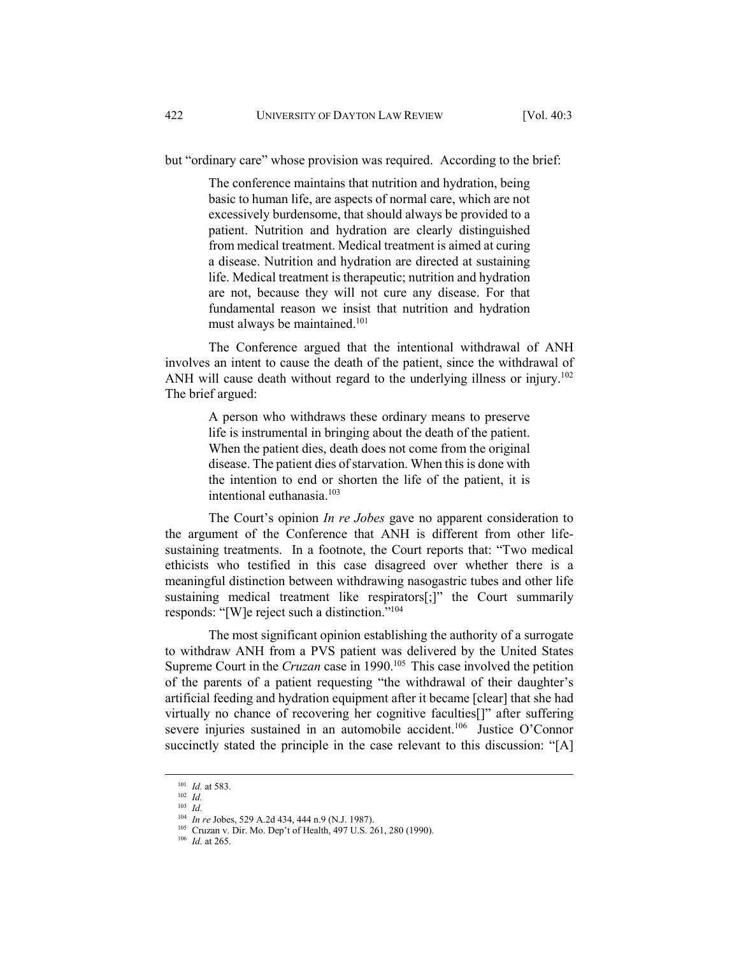but "ordinary care" whose provision was required. According to the brief:

The conference maintains that nutrition and hydration, being basic to human life, are aspects of normal care, which are not excessively burdensome, that should always be provided to a patient. Nutrition and hydration are clearly distinguished from medical treatment. Medical treatment is aimed at curing a disease. Nutrition and hydration are directed at sustaining life. Medical treatment is therapeutic; nutrition and hydration are not, because they will not cure any disease. For that fundamental reason we insist that nutrition and hydration must always be maintained.101

The Conference argued that the intentional withdrawal of ANH involves an intent to cause the death of the patient, since the withdrawal of ANH will cause death without regard to the underlying illness or injury.<sup>102</sup> The brief argued:

> A person who withdraws these ordinary means to preserve life is instrumental in bringing about the death of the patient. When the patient dies, death does not come from the original disease. The patient dies of starvation. When this is done with the intention to end or shorten the life of the patient, it is intentional euthanasia.103

The Court's opinion *In re Jobes* gave no apparent consideration to the argument of the Conference that ANH is different from other lifesustaining treatments. In a footnote, the Court reports that: "Two medical ethicists who testified in this case disagreed over whether there is a meaningful distinction between withdrawing nasogastric tubes and other life sustaining medical treatment like respirators[;]" the Court summarily responds: "[W]e reject such a distinction."104

The most significant opinion establishing the authority of a surrogate to withdraw ANH from a PVS patient was delivered by the United States Supreme Court in the *Cruzan* case in 1990.<sup>105</sup> This case involved the petition of the parents of a patient requesting "the withdrawal of their daughter's artificial feeding and hydration equipment after it became [clear] that she had virtually no chance of recovering her cognitive faculties[]" after suffering severe injuries sustained in an automobile accident.<sup>106</sup> Justice O'Connor succinctly stated the principle in the case relevant to this discussion: "[A]

<sup>101</sup> *Id.* at 583.<br>
<sup>102</sup> *Id.*<br>
<sup>103</sup> *Id.*<br>
<sup>104</sup> *In re* Jobes, 529 A.2d 434, 444 n.9 (N.J. 1987).

<sup>&</sup>lt;sup>105</sup> Cruzan v. Dir. Mo. Dep't of Health, 497 U.S. 261, 280 (1990). <sup>106</sup> *Id.* at 265.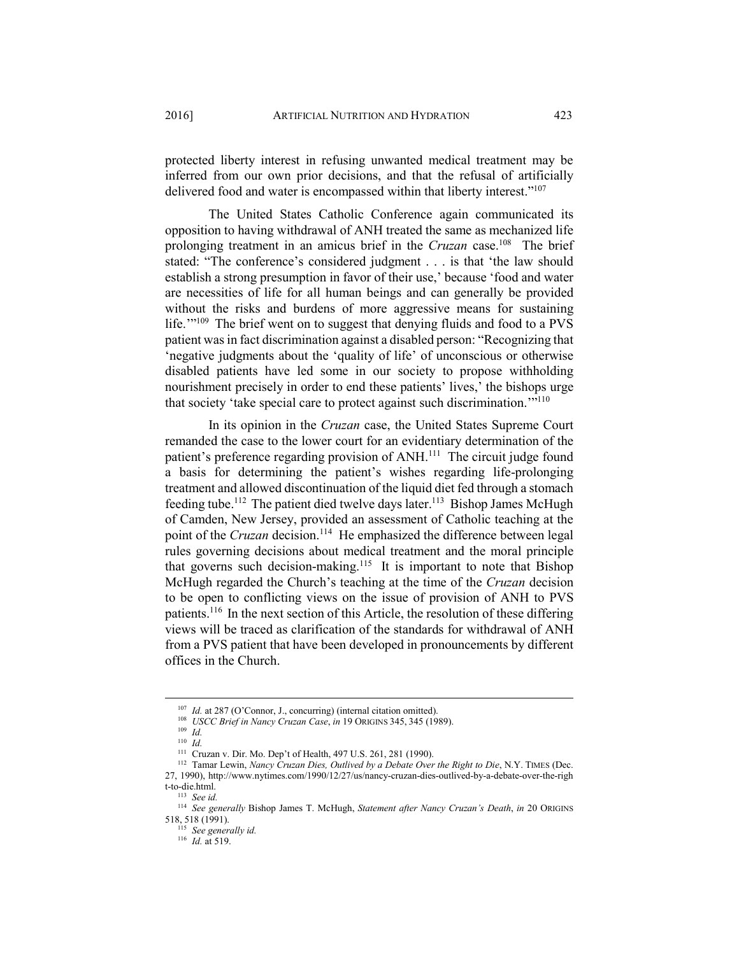protected liberty interest in refusing unwanted medical treatment may be inferred from our own prior decisions, and that the refusal of artificially delivered food and water is encompassed within that liberty interest."107

The United States Catholic Conference again communicated its opposition to having withdrawal of ANH treated the same as mechanized life prolonging treatment in an amicus brief in the *Cruzan* case.108 The brief stated: "The conference's considered judgment . . . is that 'the law should establish a strong presumption in favor of their use,' because 'food and water are necessities of life for all human beings and can generally be provided without the risks and burdens of more aggressive means for sustaining life.'"109 The brief went on to suggest that denying fluids and food to a PVS patient was in fact discrimination against a disabled person: "Recognizing that 'negative judgments about the 'quality of life' of unconscious or otherwise disabled patients have led some in our society to propose withholding nourishment precisely in order to end these patients' lives,' the bishops urge that society 'take special care to protect against such discrimination.'"110

In its opinion in the *Cruzan* case, the United States Supreme Court remanded the case to the lower court for an evidentiary determination of the patient's preference regarding provision of ANH.<sup>111</sup> The circuit judge found a basis for determining the patient's wishes regarding life-prolonging treatment and allowed discontinuation of the liquid diet fed through a stomach feeding tube.<sup>112</sup> The patient died twelve days later.<sup>113</sup> Bishop James McHugh of Camden, New Jersey, provided an assessment of Catholic teaching at the point of the *Cruzan* decision.<sup>114</sup> He emphasized the difference between legal rules governing decisions about medical treatment and the moral principle that governs such decision-making.<sup>115</sup> It is important to note that Bishop McHugh regarded the Church's teaching at the time of the *Cruzan* decision to be open to conflicting views on the issue of provision of ANH to PVS patients.116 In the next section of this Article, the resolution of these differing views will be traced as clarification of the standards for withdrawal of ANH from a PVS patient that have been developed in pronouncements by different offices in the Church.

<sup>107</sup> *Id.* at 287 (O'Connor, J., concurring) (internal citation omitted). 108 *USCC Brief in Nancy Cruzan Case*, *in* 19 ORIGINS 345, 345 (1989). 109 *Id.* 

<sup>&</sup>lt;sup>111</sup> Cruzan v. Dir. Mo. Dep't of Health, 497 U.S. 261, 281 (1990). <sup>112</sup> Tamar Lewin, *Nancy Cruzan Dies, Outlived by a Debate Over the Right to Die*, N.Y. TIMES (Dec. 27, 1990), http://www.nytimes.com/1990/12/27/us/nancy-cruzan-dies-outlived-by-a-debate-over-the-righ

<sup>&</sup>lt;sup>113</sup> See id.

<sup>114</sup> *See generally* Bishop James T. McHugh, *Statement after Nancy Cruzan's Death*, *in* 20 ORIGINS 518, 518 (1991). 115 *See generally id.* 

<sup>116</sup> *Id.* at 519.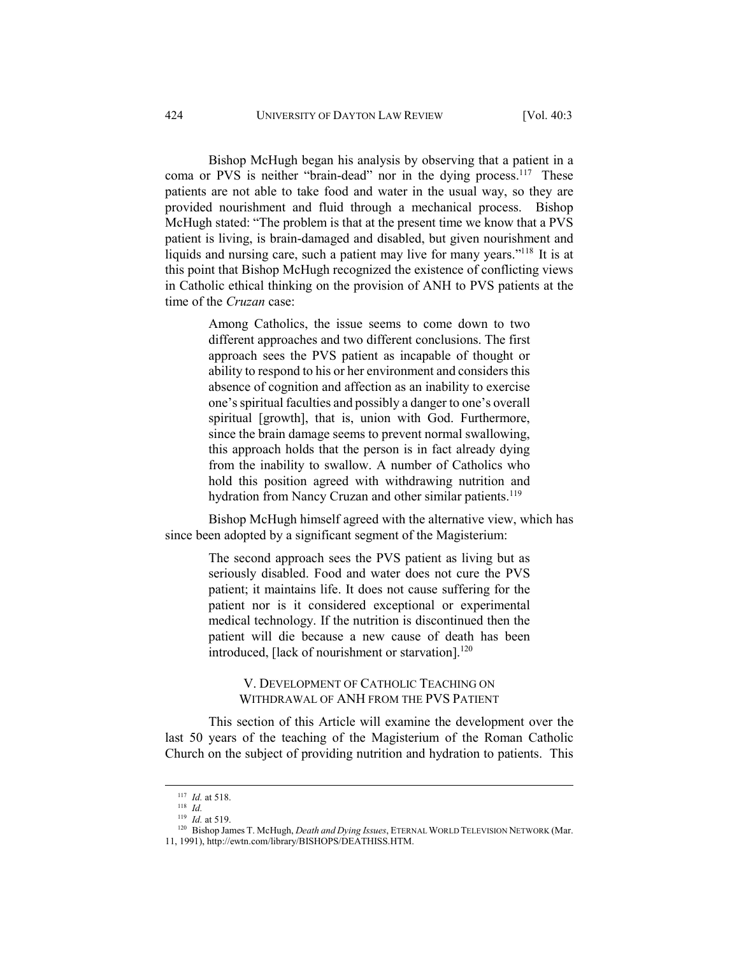Bishop McHugh began his analysis by observing that a patient in a coma or PVS is neither "brain-dead" nor in the dying process.<sup>117</sup> These patients are not able to take food and water in the usual way, so they are provided nourishment and fluid through a mechanical process. Bishop McHugh stated: "The problem is that at the present time we know that a PVS patient is living, is brain-damaged and disabled, but given nourishment and liquids and nursing care, such a patient may live for many years."<sup>118</sup> It is at this point that Bishop McHugh recognized the existence of conflicting views in Catholic ethical thinking on the provision of ANH to PVS patients at the time of the *Cruzan* case:

> Among Catholics, the issue seems to come down to two different approaches and two different conclusions. The first approach sees the PVS patient as incapable of thought or ability to respond to his or her environment and considers this absence of cognition and affection as an inability to exercise one's spiritual faculties and possibly a danger to one's overall spiritual [growth], that is, union with God. Furthermore, since the brain damage seems to prevent normal swallowing, this approach holds that the person is in fact already dying from the inability to swallow. A number of Catholics who hold this position agreed with withdrawing nutrition and hydration from Nancy Cruzan and other similar patients.<sup>119</sup>

Bishop McHugh himself agreed with the alternative view, which has since been adopted by a significant segment of the Magisterium:

> The second approach sees the PVS patient as living but as seriously disabled. Food and water does not cure the PVS patient; it maintains life. It does not cause suffering for the patient nor is it considered exceptional or experimental medical technology. If the nutrition is discontinued then the patient will die because a new cause of death has been introduced, [lack of nourishment or starvation]. $120$

V. DEVELOPMENT OF CATHOLIC TEACHING ON WITHDRAWAL OF ANH FROM THE PVS PATIENT

This section of this Article will examine the development over the last 50 years of the teaching of the Magisterium of the Roman Catholic Church on the subject of providing nutrition and hydration to patients. This

<sup>117</sup> *Id.* at 518.<br><sup>118</sup> *Id.*<br><sup>119</sup> *Id.* at 519.<br><sup>120</sup> Bishop James T. McHugh, *Death and Dying Issues*, ETERNAL WORLD TELEVISION NETWORK (Mar. 11, 1991), http://ewtn.com/library/BISHOPS/DEATHISS.HTM.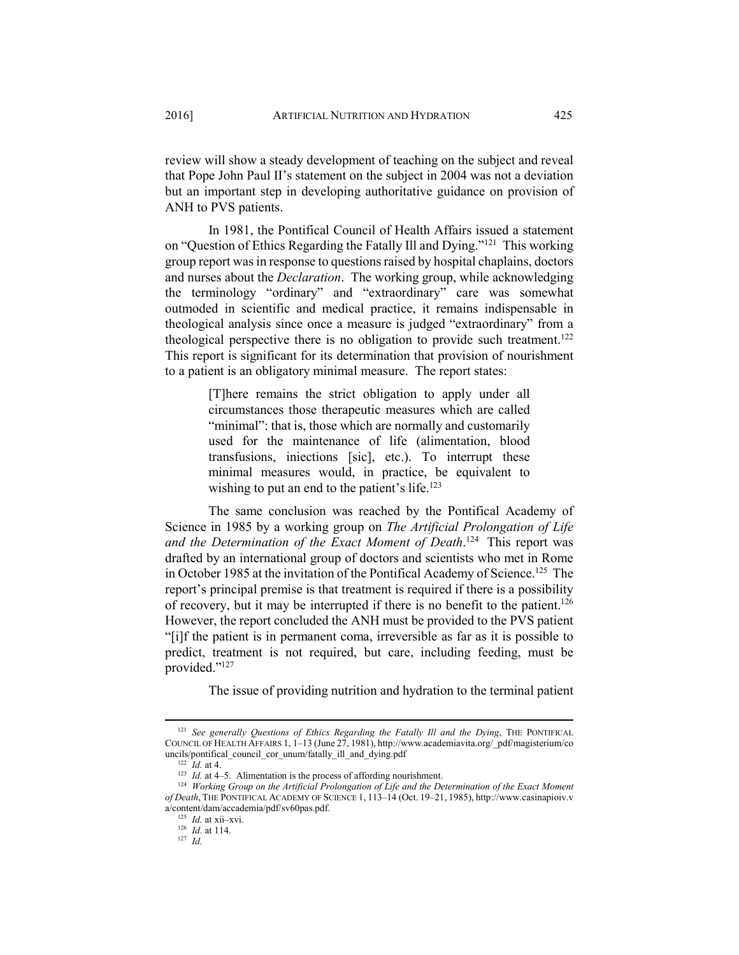review will show a steady development of teaching on the subject and reveal that Pope John Paul II's statement on the subject in 2004 was not a deviation but an important step in developing authoritative guidance on provision of ANH to PVS patients.

In 1981, the Pontifical Council of Health Affairs issued a statement on "Question of Ethics Regarding the Fatally Ill and Dying."121 This working group report was in response to questions raised by hospital chaplains, doctors and nurses about the *Declaration*. The working group, while acknowledging the terminology "ordinary" and "extraordinary" care was somewhat outmoded in scientific and medical practice, it remains indispensable in theological analysis since once a measure is judged "extraordinary" from a theological perspective there is no obligation to provide such treatment.<sup>122</sup> This report is significant for its determination that provision of nourishment to a patient is an obligatory minimal measure. The report states:

> [T]here remains the strict obligation to apply under all circumstances those therapeutic measures which are called "minimal": that is, those which are normally and customarily used for the maintenance of life (alimentation, blood transfusions, iniections [sic], etc.). To interrupt these minimal measures would, in practice, be equivalent to wishing to put an end to the patient's life.<sup>123</sup>

The same conclusion was reached by the Pontifical Academy of Science in 1985 by a working group on *The Artificial Prolongation of Life and the Determination of the Exact Moment of Death*. 124 This report was drafted by an international group of doctors and scientists who met in Rome in October 1985 at the invitation of the Pontifical Academy of Science.<sup>125</sup> The report's principal premise is that treatment is required if there is a possibility of recovery, but it may be interrupted if there is no benefit to the patient.<sup>126</sup> However, the report concluded the ANH must be provided to the PVS patient "[i]f the patient is in permanent coma, irreversible as far as it is possible to predict, treatment is not required, but care, including feeding, must be provided."127

The issue of providing nutrition and hydration to the terminal patient

<sup>125</sup> *Id.* at xii–xvi.<br><sup>126</sup> *Id.* at 114. <sup>127</sup> *Id.* 

 <sup>121</sup> *See generally Questions of Ethics Regarding the Fatally Ill and the Dying*, THE PONTIFICAL COUNCIL OF HEALTH AFFAIRS 1, 1–13 (June 27, 1981), http://www.academiavita.org/\_pdf/magisterium/co

<sup>&</sup>lt;sup>122</sup> *Id.* at 4. <sup>-</sup> <br><sup>123</sup> *Id.* at 4–5. Alimentation is the process of affording nourishment.<br><sup>124</sup> *Working Group on the Artificial Prolongation of Life and the Determination of the Exact Moment of Death*, THE PONTIFICAL ACADEMY OF SCIENCE 1, 113–14 (Oct. 19–21, 1985), http://www.casinapioiv.v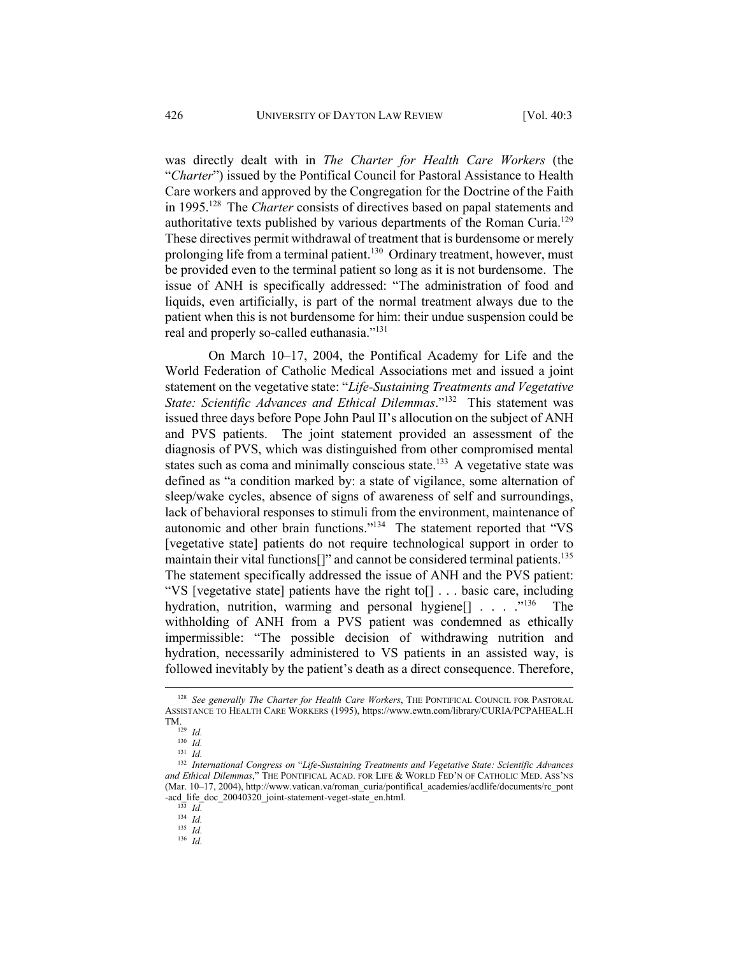was directly dealt with in *The Charter for Health Care Workers* (the "*Charter*") issued by the Pontifical Council for Pastoral Assistance to Health Care workers and approved by the Congregation for the Doctrine of the Faith in 1995.128 The *Charter* consists of directives based on papal statements and authoritative texts published by various departments of the Roman Curia.129 These directives permit withdrawal of treatment that is burdensome or merely prolonging life from a terminal patient.<sup>130</sup> Ordinary treatment, however, must be provided even to the terminal patient so long as it is not burdensome. The issue of ANH is specifically addressed: "The administration of food and liquids, even artificially, is part of the normal treatment always due to the patient when this is not burdensome for him: their undue suspension could be real and properly so-called euthanasia."131

On March 10–17, 2004, the Pontifical Academy for Life and the World Federation of Catholic Medical Associations met and issued a joint statement on the vegetative state: "*Life-Sustaining Treatments and Vegetative State: Scientific Advances and Ethical Dilemmas*."132 This statement was issued three days before Pope John Paul II's allocution on the subject of ANH and PVS patients. The joint statement provided an assessment of the diagnosis of PVS, which was distinguished from other compromised mental states such as coma and minimally conscious state.<sup>133</sup> A vegetative state was defined as "a condition marked by: a state of vigilance, some alternation of sleep/wake cycles, absence of signs of awareness of self and surroundings, lack of behavioral responses to stimuli from the environment, maintenance of autonomic and other brain functions."134 The statement reported that "VS [vegetative state] patients do not require technological support in order to maintain their vital functions<sup>[]"</sup> and cannot be considered terminal patients.<sup>135</sup> The statement specifically addressed the issue of ANH and the PVS patient: "VS [vegetative state] patients have the right to[] . . . basic care, including hydration, nutrition, warming and personal hygiene<sup>[]</sup> . . . .<sup>"136</sup> The withholding of ANH from a PVS patient was condemned as ethically impermissible: "The possible decision of withdrawing nutrition and hydration, necessarily administered to VS patients in an assisted way, is followed inevitably by the patient's death as a direct consequence. Therefore,

 <sup>128</sup> *See generally The Charter for Health Care Workers*, THE PONTIFICAL COUNCIL FOR PASTORAL ASSISTANCE TO HEALTH CARE WORKERS (1995), https://www.ewtn.com/library/CURIA/PCPAHEAL.H TM.<br> $^{129}$  *Id.*<br> $^{130}$  *Id.* 

<sup>130</sup> *Id.* 131 *Id.*

<sup>132</sup> *International Congress on* "*Life-Sustaining Treatments and Vegetative State: Scientific Advances and Ethical Dilemmas*," THE PONTIFICAL ACAD. FOR LIFE & WORLD FED'N OF CATHOLIC MED. ASS'NS (Mar. 10–17, 2004), http://www.vatican.va/roman\_curia/pontifical\_academies/acdlife/documents/rc\_pont -acd\_life\_doc\_20040320\_joint-statement-veget-state\_en.html. 133 *Id.*

<sup>134</sup> *Id.* 135 *Id.* 

<sup>136</sup> *Id.*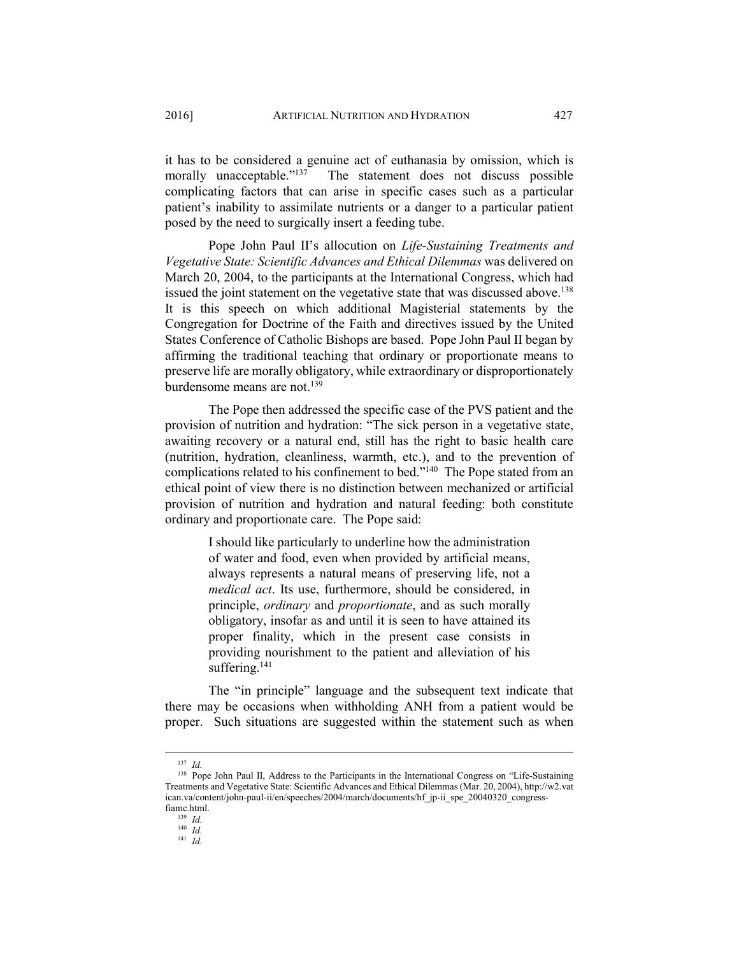it has to be considered a genuine act of euthanasia by omission, which is morally unacceptable."<sup>137</sup> The statement does not discuss possible complicating factors that can arise in specific cases such as a particular patient's inability to assimilate nutrients or a danger to a particular patient posed by the need to surgically insert a feeding tube.

Pope John Paul II's allocution on *Life-Sustaining Treatments and Vegetative State: Scientific Advances and Ethical Dilemmas* was delivered on March 20, 2004, to the participants at the International Congress, which had issued the joint statement on the vegetative state that was discussed above.<sup>138</sup> It is this speech on which additional Magisterial statements by the Congregation for Doctrine of the Faith and directives issued by the United States Conference of Catholic Bishops are based. Pope John Paul II began by affirming the traditional teaching that ordinary or proportionate means to preserve life are morally obligatory, while extraordinary or disproportionately burdensome means are not.139

The Pope then addressed the specific case of the PVS patient and the provision of nutrition and hydration: "The sick person in a vegetative state, awaiting recovery or a natural end, still has the right to basic health care (nutrition, hydration, cleanliness, warmth, etc.), and to the prevention of complications related to his confinement to bed."<sup>140</sup> The Pope stated from an ethical point of view there is no distinction between mechanized or artificial provision of nutrition and hydration and natural feeding: both constitute ordinary and proportionate care. The Pope said:

> I should like particularly to underline how the administration of water and food, even when provided by artificial means, always represents a natural means of preserving life, not a *medical act*. Its use, furthermore, should be considered, in principle, *ordinary* and *proportionate*, and as such morally obligatory, insofar as and until it is seen to have attained its proper finality, which in the present case consists in providing nourishment to the patient and alleviation of his suffering.<sup>141</sup>

The "in principle" language and the subsequent text indicate that there may be occasions when withholding ANH from a patient would be proper. Such situations are suggested within the statement such as when

 <sup>137</sup> *Id.* 

<sup>&</sup>lt;sup>138</sup> Pope John Paul II, Address to the Participants in the International Congress on "Life-Sustaining Treatments and Vegetative State: Scientific Advances and Ethical Dilemmas (Mar. 20, 2004), http://w2.vat ican.va/content/john-paul-ii/en/speeches/2004/march/documents/hf\_jp-ii\_spe\_20040320\_congressfiamc.html. 139 *Id.*

<sup>140</sup> *Id.*

<sup>141</sup> *Id.*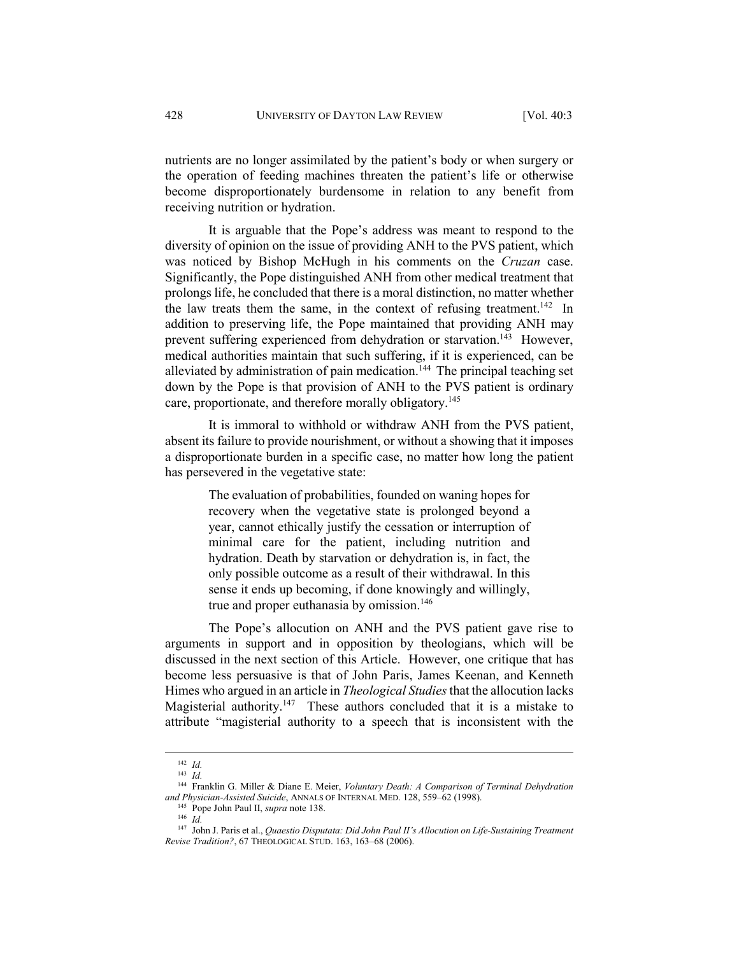nutrients are no longer assimilated by the patient's body or when surgery or the operation of feeding machines threaten the patient's life or otherwise become disproportionately burdensome in relation to any benefit from receiving nutrition or hydration.

It is arguable that the Pope's address was meant to respond to the diversity of opinion on the issue of providing ANH to the PVS patient, which was noticed by Bishop McHugh in his comments on the *Cruzan* case. Significantly, the Pope distinguished ANH from other medical treatment that prolongs life, he concluded that there is a moral distinction, no matter whether the law treats them the same, in the context of refusing treatment.<sup>142</sup> In addition to preserving life, the Pope maintained that providing ANH may prevent suffering experienced from dehydration or starvation.<sup>143</sup> However, medical authorities maintain that such suffering, if it is experienced, can be alleviated by administration of pain medication.<sup>144</sup> The principal teaching set down by the Pope is that provision of ANH to the PVS patient is ordinary care, proportionate, and therefore morally obligatory.<sup>145</sup>

It is immoral to withhold or withdraw ANH from the PVS patient, absent its failure to provide nourishment, or without a showing that it imposes a disproportionate burden in a specific case, no matter how long the patient has persevered in the vegetative state:

> The evaluation of probabilities, founded on waning hopes for recovery when the vegetative state is prolonged beyond a year, cannot ethically justify the cessation or interruption of minimal care for the patient, including nutrition and hydration. Death by starvation or dehydration is, in fact, the only possible outcome as a result of their withdrawal. In this sense it ends up becoming, if done knowingly and willingly, true and proper euthanasia by omission.<sup>146</sup>

The Pope's allocution on ANH and the PVS patient gave rise to arguments in support and in opposition by theologians, which will be discussed in the next section of this Article. However, one critique that has become less persuasive is that of John Paris, James Keenan, and Kenneth Himes who argued in an article in *Theological Studies* that the allocution lacks Magisterial authority.<sup>147</sup> These authors concluded that it is a mistake to attribute "magisterial authority to a speech that is inconsistent with the

 <sup>142</sup> *Id.*

<sup>143</sup> *Id.*

<sup>144</sup> Franklin G. Miller & Diane E. Meier, *Voluntary Death: A Comparison of Terminal Dehydration and Physician-Assisted Suicide*, ANNALS OF INTERNAL MED. 128, 559–62 (1998).<br><sup>145</sup> Pope John Paul II, *supra* note 138.<br><sup>146</sup> *Id.* 

<sup>147</sup> John J. Paris et al., *Quaestio Disputata: Did John Paul II's Allocution on Life-Sustaining Treatment Revise Tradition?*, 67 THEOLOGICAL STUD. 163, 163–68 (2006).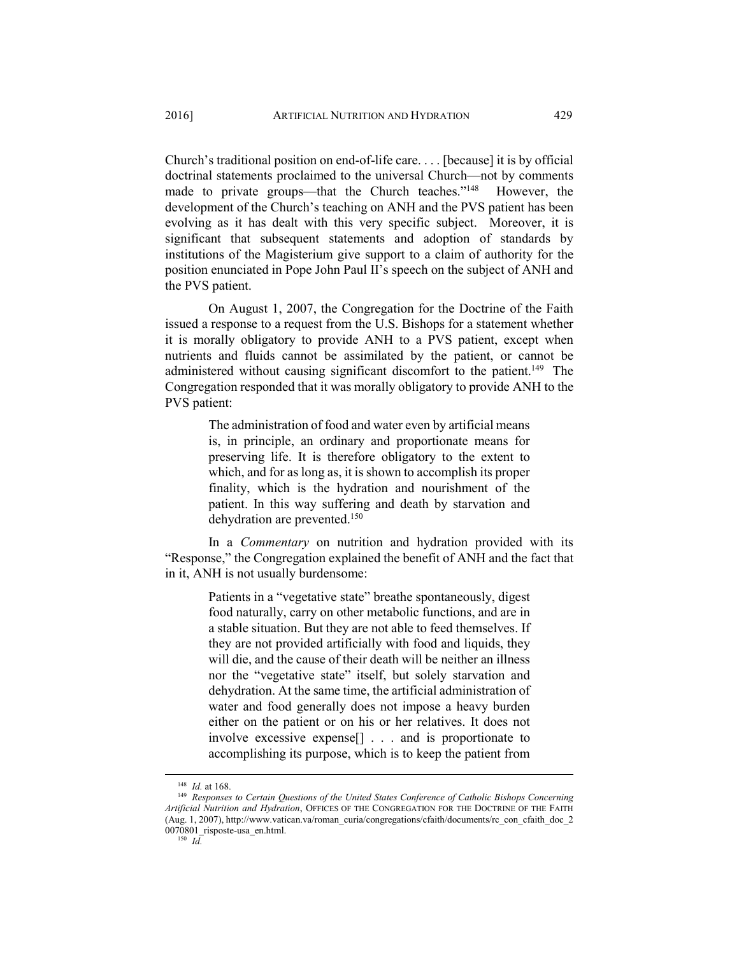Church's traditional position on end-of-life care. . . . [because] it is by official doctrinal statements proclaimed to the universal Church—not by comments made to private groups—that the Church teaches."<sup>148</sup> However, the development of the Church's teaching on ANH and the PVS patient has been evolving as it has dealt with this very specific subject. Moreover, it is significant that subsequent statements and adoption of standards by institutions of the Magisterium give support to a claim of authority for the position enunciated in Pope John Paul II's speech on the subject of ANH and the PVS patient.

On August 1, 2007, the Congregation for the Doctrine of the Faith issued a response to a request from the U.S. Bishops for a statement whether it is morally obligatory to provide ANH to a PVS patient, except when nutrients and fluids cannot be assimilated by the patient, or cannot be administered without causing significant discomfort to the patient.<sup>149</sup> The Congregation responded that it was morally obligatory to provide ANH to the PVS patient:

> The administration of food and water even by artificial means is, in principle, an ordinary and proportionate means for preserving life. It is therefore obligatory to the extent to which, and for as long as, it is shown to accomplish its proper finality, which is the hydration and nourishment of the patient. In this way suffering and death by starvation and dehydration are prevented.150

In a *Commentary* on nutrition and hydration provided with its "Response," the Congregation explained the benefit of ANH and the fact that in it, ANH is not usually burdensome:

> Patients in a "vegetative state" breathe spontaneously, digest food naturally, carry on other metabolic functions, and are in a stable situation. But they are not able to feed themselves. If they are not provided artificially with food and liquids, they will die, and the cause of their death will be neither an illness nor the "vegetative state" itself, but solely starvation and dehydration. At the same time, the artificial administration of water and food generally does not impose a heavy burden either on the patient or on his or her relatives. It does not involve excessive expense[] . . . and is proportionate to accomplishing its purpose, which is to keep the patient from

<sup>&</sup>lt;sup>148</sup> *Id.* at 168.<br><sup>149</sup> Responses to Certain Questions of the United States Conference of Catholic Bishops Concerning *Artificial Nutrition and Hydration*, OFFICES OF THE CONGREGATION FOR THE DOCTRINE OF THE FAITH (Aug. 1, 2007), http://www.vatican.va/roman\_curia/congregations/cfaith/documents/rc\_con\_cfaith\_doc\_2 0070801\_risposte-usa\_en.html. 150 *Id.*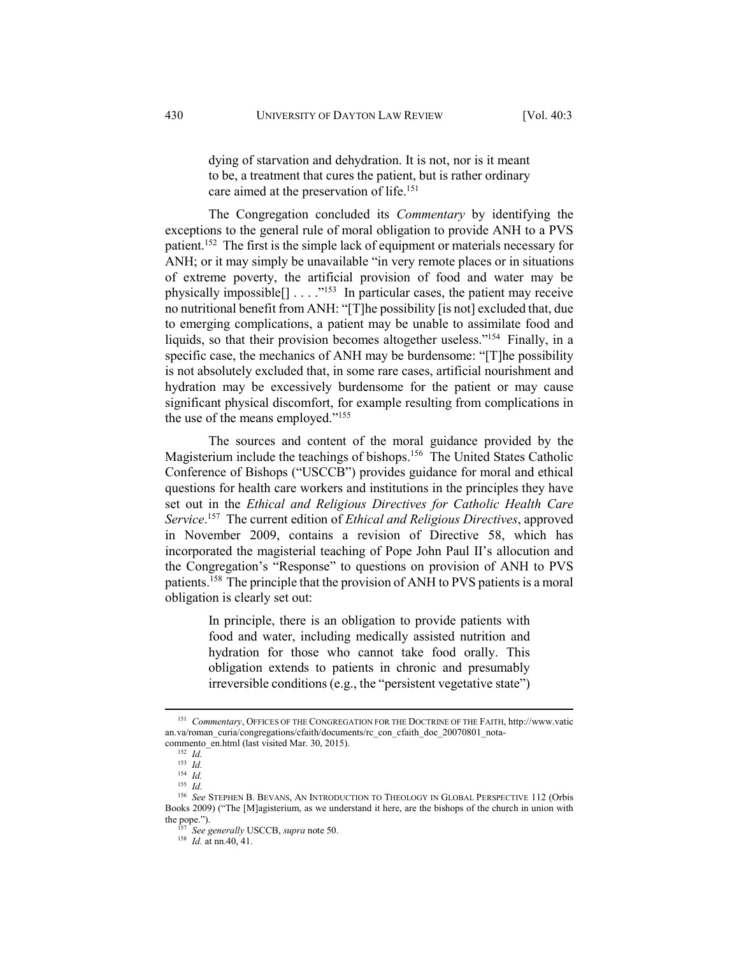dying of starvation and dehydration. It is not, nor is it meant to be, a treatment that cures the patient, but is rather ordinary care aimed at the preservation of life.<sup>151</sup>

The Congregation concluded its *Commentary* by identifying the exceptions to the general rule of moral obligation to provide ANH to a PVS patient.152 The first is the simple lack of equipment or materials necessary for ANH; or it may simply be unavailable "in very remote places or in situations of extreme poverty, the artificial provision of food and water may be physically impossible $[] \ldots$ ."<sup>153</sup> In particular cases, the patient may receive no nutritional benefit from ANH: "[T]he possibility [is not] excluded that, due to emerging complications, a patient may be unable to assimilate food and liquids, so that their provision becomes altogether useless."154 Finally, in a specific case, the mechanics of ANH may be burdensome: "[T]he possibility is not absolutely excluded that, in some rare cases, artificial nourishment and hydration may be excessively burdensome for the patient or may cause significant physical discomfort, for example resulting from complications in the use of the means employed."155

The sources and content of the moral guidance provided by the Magisterium include the teachings of bishops.<sup>156</sup> The United States Catholic Conference of Bishops ("USCCB") provides guidance for moral and ethical questions for health care workers and institutions in the principles they have set out in the *Ethical and Religious Directives for Catholic Health Care Service*. 157 The current edition of *Ethical and Religious Directives*, approved in November 2009, contains a revision of Directive 58, which has incorporated the magisterial teaching of Pope John Paul II's allocution and the Congregation's "Response" to questions on provision of ANH to PVS patients.158 The principle that the provision of ANH to PVS patients is a moral obligation is clearly set out:

> In principle, there is an obligation to provide patients with food and water, including medically assisted nutrition and hydration for those who cannot take food orally. This obligation extends to patients in chronic and presumably irreversible conditions (e.g., the "persistent vegetative state")

 <sup>151</sup> *Commentary*, OFFICES OF THE CONGREGATION FOR THE DOCTRINE OF THE FAITH, http://www.vatic an.va/roman\_curia/congregations/cfaith/documents/rc\_con\_cfaith\_doc\_20070801\_notacommento\_en.html (last visited Mar. 30, 2015). 152 *Id.*

<sup>153</sup> *Id.*

<sup>154</sup> *Id.*

<sup>155</sup> *Id.*

<sup>156</sup> *See* STEPHEN B. BEVANS, AN INTRODUCTION TO THEOLOGY IN GLOBAL PERSPECTIVE 112 (Orbis Books 2009) ("The [M]agisterium, as we understand it here, are the bishops of the church in union with the pope.").<br> $\frac{157}{250}$  See Separally USCCP, summa poto 50.

the pope."). 157 *See generally* USCCB, *supra* note 50. 158 *Id.* at nn.40, 41.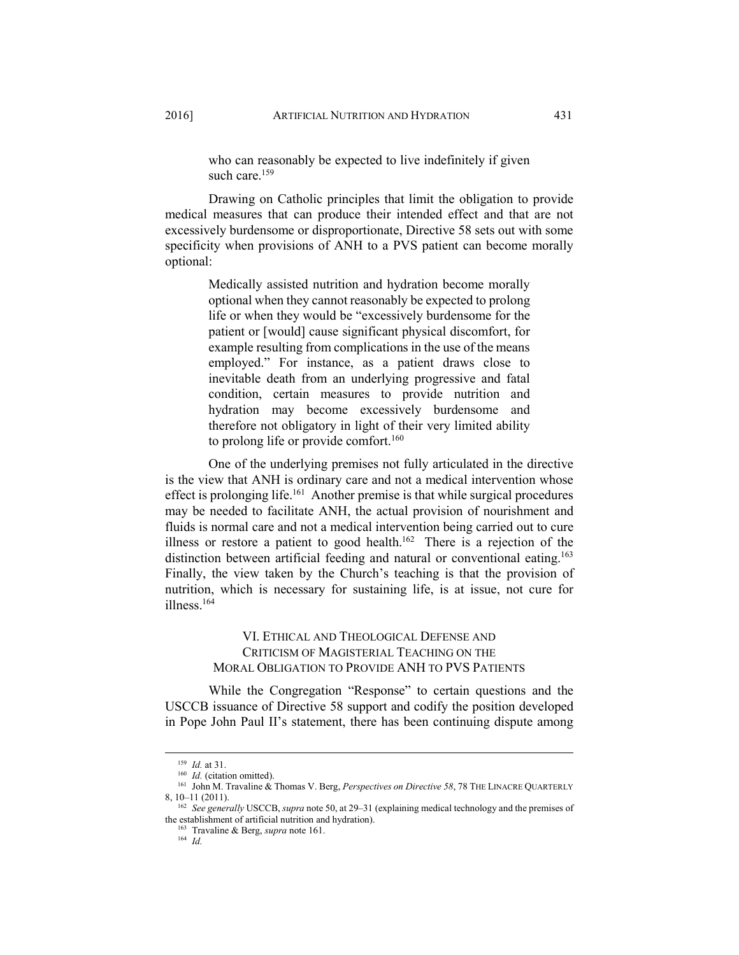who can reasonably be expected to live indefinitely if given such care  $159$ 

Drawing on Catholic principles that limit the obligation to provide medical measures that can produce their intended effect and that are not excessively burdensome or disproportionate, Directive 58 sets out with some specificity when provisions of ANH to a PVS patient can become morally optional:

> Medically assisted nutrition and hydration become morally optional when they cannot reasonably be expected to prolong life or when they would be "excessively burdensome for the patient or [would] cause significant physical discomfort, for example resulting from complications in the use of the means employed." For instance, as a patient draws close to inevitable death from an underlying progressive and fatal condition, certain measures to provide nutrition and hydration may become excessively burdensome and therefore not obligatory in light of their very limited ability to prolong life or provide comfort.<sup>160</sup>

One of the underlying premises not fully articulated in the directive is the view that ANH is ordinary care and not a medical intervention whose effect is prolonging life.<sup>161</sup> Another premise is that while surgical procedures may be needed to facilitate ANH, the actual provision of nourishment and fluids is normal care and not a medical intervention being carried out to cure illness or restore a patient to good health.<sup>162</sup> There is a rejection of the distinction between artificial feeding and natural or conventional eating.<sup>163</sup> Finally, the view taken by the Church's teaching is that the provision of nutrition, which is necessary for sustaining life, is at issue, not cure for illness.164

# VI. ETHICAL AND THEOLOGICAL DEFENSE AND CRITICISM OF MAGISTERIAL TEACHING ON THE MORAL OBLIGATION TO PROVIDE ANH TO PVS PATIENTS

While the Congregation "Response" to certain questions and the USCCB issuance of Directive 58 support and codify the position developed in Pope John Paul II's statement, there has been continuing dispute among

<sup>&</sup>lt;sup>159</sup> *Id.* at 31.<br><sup>160</sup> *Id.* (citation omitted).<br><sup>161</sup> John M. Travaline & Thomas V. Berg, *Perspectives on Directive 58*, 78 THE LINACRE QUARTERLY 8, 10–11 (2011). 162 *See generally* USCCB, *supra* note 50, at 29–31 (explaining medical technology and the premises of

the establishment of artificial nutrition and hydration).<br><sup>163</sup> Travaline & Berg, *supra* note 161.<br><sup>164</sup> *Id.*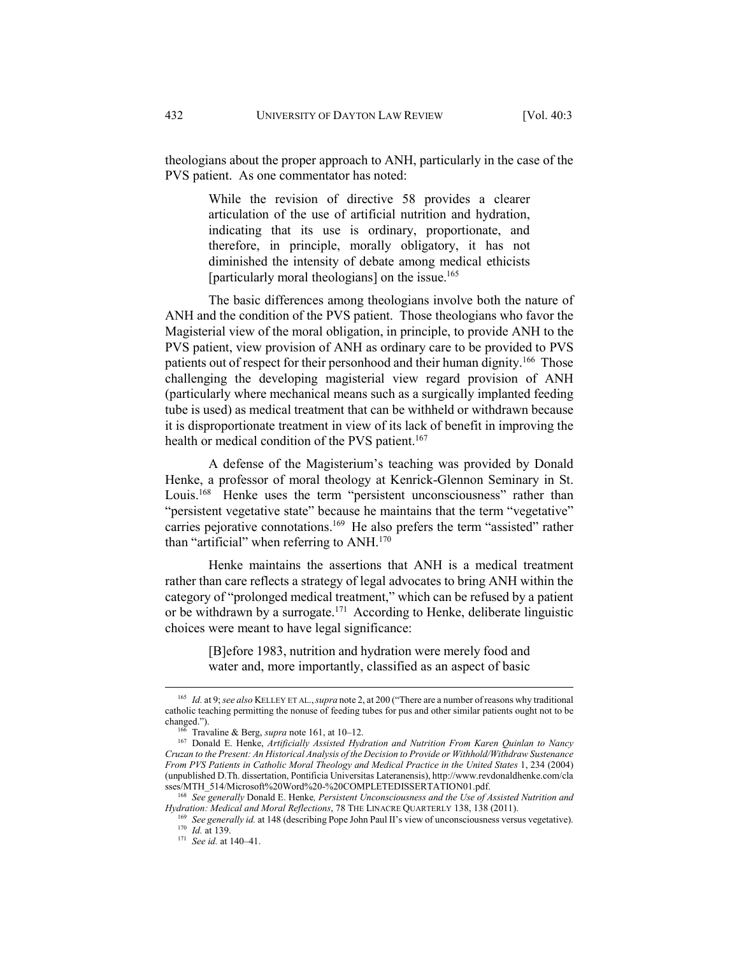theologians about the proper approach to ANH, particularly in the case of the PVS patient. As one commentator has noted:

> While the revision of directive 58 provides a clearer articulation of the use of artificial nutrition and hydration, indicating that its use is ordinary, proportionate, and therefore, in principle, morally obligatory, it has not diminished the intensity of debate among medical ethicists [particularly moral theologians] on the issue.<sup>165</sup>

The basic differences among theologians involve both the nature of ANH and the condition of the PVS patient. Those theologians who favor the Magisterial view of the moral obligation, in principle, to provide ANH to the PVS patient, view provision of ANH as ordinary care to be provided to PVS patients out of respect for their personhood and their human dignity.<sup>166</sup> Those challenging the developing magisterial view regard provision of ANH (particularly where mechanical means such as a surgically implanted feeding tube is used) as medical treatment that can be withheld or withdrawn because it is disproportionate treatment in view of its lack of benefit in improving the health or medical condition of the PVS patient.<sup>167</sup>

A defense of the Magisterium's teaching was provided by Donald Henke, a professor of moral theology at Kenrick-Glennon Seminary in St. Louis.<sup>168</sup> Henke uses the term "persistent unconsciousness" rather than "persistent vegetative state" because he maintains that the term "vegetative" carries pejorative connotations.<sup>169</sup> He also prefers the term "assisted" rather than "artificial" when referring to ANH.<sup>170</sup>

Henke maintains the assertions that ANH is a medical treatment rather than care reflects a strategy of legal advocates to bring ANH within the category of "prolonged medical treatment," which can be refused by a patient or be withdrawn by a surrogate.<sup>171</sup> According to Henke, deliberate linguistic choices were meant to have legal significance:

> [B]efore 1983, nutrition and hydration were merely food and water and, more importantly, classified as an aspect of basic

 <sup>165</sup> *Id.* at 9; *see also* KELLEY ET AL.,*supra* note 2, at 200 ("There are a number of reasons why traditional catholic teaching permitting the nonuse of feeding tubes for pus and other similar patients ought not to be changed."). 166 Travaline & Berg, *supra* note 161, at 10–12. 167 Donald E. Henke, *Artificially Assisted Hydration and Nutrition From Karen Quinlan to Nancy* 

*Cruzan to the Present: An Historical Analysis of the Decision to Provide or Withhold/Withdraw Sustenance From PVS Patients in Catholic Moral Theology and Medical Practice in the United States* 1, 234 (2004) (unpublished D.Th. dissertation, Pontificia Universitas Lateranensis), http://www.revdonaldhenke.com/cla

<sup>&</sup>lt;sup>168</sup> See generally Donald E. Henke, *Persistent Unconsciousness and the Use of Assisted Nutrition and Hydration: Medical and Moral Reflections, 78 THE LINACRE QUARTERLY 138, 138 (2011).* 

<sup>&</sup>lt;sup>169</sup> See generally id. at 148 (describing Pope John Paul II's view of unconsciousness versus vegetative).<br><sup>170</sup> *Id.* at 139.<br><sup>171</sup> See id. at 140–41.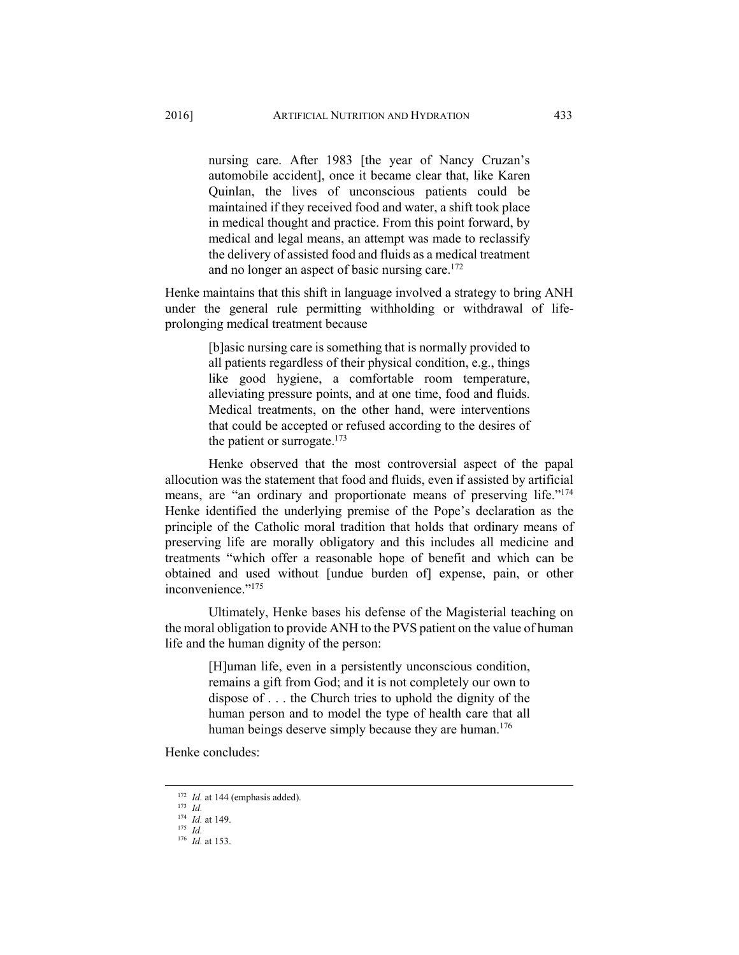nursing care. After 1983 [the year of Nancy Cruzan's automobile accident], once it became clear that, like Karen Quinlan, the lives of unconscious patients could be maintained if they received food and water, a shift took place in medical thought and practice. From this point forward, by medical and legal means, an attempt was made to reclassify the delivery of assisted food and fluids as a medical treatment and no longer an aspect of basic nursing care.<sup>172</sup>

Henke maintains that this shift in language involved a strategy to bring ANH under the general rule permitting withholding or withdrawal of lifeprolonging medical treatment because

> [b]asic nursing care is something that is normally provided to all patients regardless of their physical condition, e.g., things like good hygiene, a comfortable room temperature, alleviating pressure points, and at one time, food and fluids. Medical treatments, on the other hand, were interventions that could be accepted or refused according to the desires of the patient or surrogate.<sup>173</sup>

Henke observed that the most controversial aspect of the papal allocution was the statement that food and fluids, even if assisted by artificial means, are "an ordinary and proportionate means of preserving life."<sup>174</sup> Henke identified the underlying premise of the Pope's declaration as the principle of the Catholic moral tradition that holds that ordinary means of preserving life are morally obligatory and this includes all medicine and treatments "which offer a reasonable hope of benefit and which can be obtained and used without [undue burden of] expense, pain, or other inconvenience."175

Ultimately, Henke bases his defense of the Magisterial teaching on the moral obligation to provide ANH to the PVS patient on the value of human life and the human dignity of the person:

> [H]uman life, even in a persistently unconscious condition, remains a gift from God; and it is not completely our own to dispose of . . . the Church tries to uphold the dignity of the human person and to model the type of health care that all human beings deserve simply because they are human.<sup>176</sup>

Henke concludes:

<sup>172</sup> *Id.* at 144 (emphasis added). 173 *Id.*

<sup>174</sup> *Id.* at 149. 175 *Id.* 

<sup>176</sup> *Id.* at 153.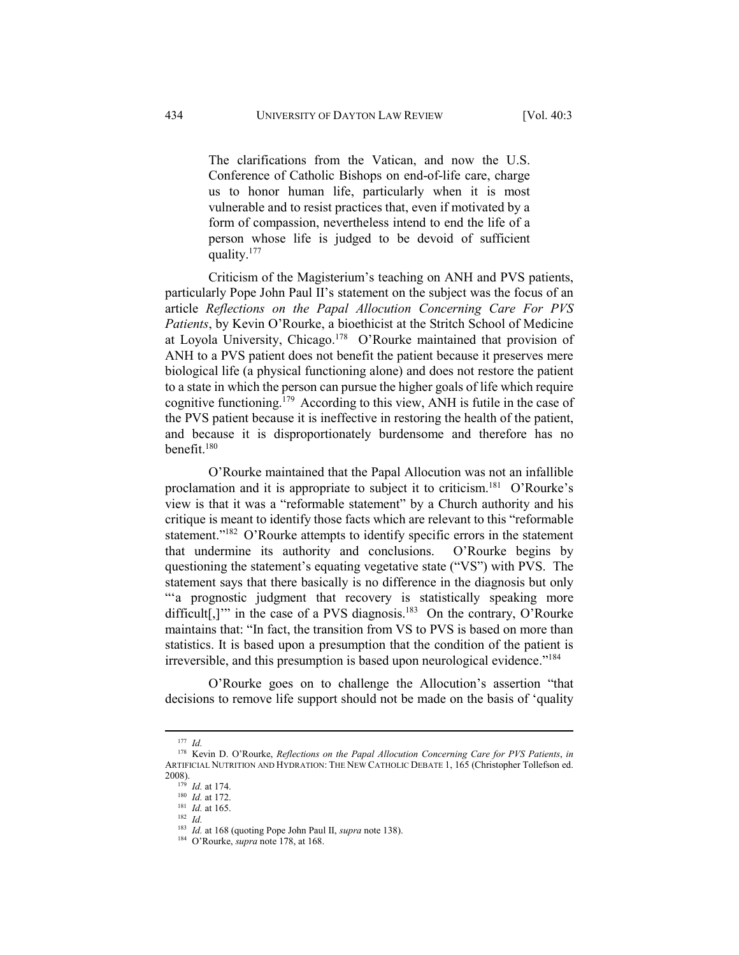The clarifications from the Vatican, and now the U.S. Conference of Catholic Bishops on end-of-life care, charge us to honor human life, particularly when it is most vulnerable and to resist practices that, even if motivated by a form of compassion, nevertheless intend to end the life of a person whose life is judged to be devoid of sufficient quality.177

Criticism of the Magisterium's teaching on ANH and PVS patients, particularly Pope John Paul II's statement on the subject was the focus of an article *Reflections on the Papal Allocution Concerning Care For PVS Patients*, by Kevin O'Rourke, a bioethicist at the Stritch School of Medicine at Loyola University, Chicago.<sup>178</sup> O'Rourke maintained that provision of ANH to a PVS patient does not benefit the patient because it preserves mere biological life (a physical functioning alone) and does not restore the patient to a state in which the person can pursue the higher goals of life which require cognitive functioning.179 According to this view, ANH is futile in the case of the PVS patient because it is ineffective in restoring the health of the patient, and because it is disproportionately burdensome and therefore has no benefit.180

O'Rourke maintained that the Papal Allocution was not an infallible proclamation and it is appropriate to subject it to criticism.181 O'Rourke's view is that it was a "reformable statement" by a Church authority and his critique is meant to identify those facts which are relevant to this "reformable statement."<sup>182</sup> O'Rourke attempts to identify specific errors in the statement that undermine its authority and conclusions. O'Rourke begins by questioning the statement's equating vegetative state ("VS") with PVS. The statement says that there basically is no difference in the diagnosis but only "'a prognostic judgment that recovery is statistically speaking more difficult[,]" in the case of a PVS diagnosis.<sup>183</sup> On the contrary, O'Rourke maintains that: "In fact, the transition from VS to PVS is based on more than statistics. It is based upon a presumption that the condition of the patient is irreversible, and this presumption is based upon neurological evidence."184

O'Rourke goes on to challenge the Allocution's assertion "that decisions to remove life support should not be made on the basis of 'quality

 <sup>177</sup> *Id.*

<sup>178</sup> Kevin D. O'Rourke, *Reflections on the Papal Allocution Concerning Care for PVS Patients*, *in* ARTIFICIAL NUTRITION AND HYDRATION: THE NEW CATHOLIC DEBATE 1, 165 (Christopher Tollefson ed. 2008).<br>
<sup>179</sup> *Id.* at 174.<br>
<sup>181</sup> *Id.* at 172.<br>
<sup>181</sup> *Id.* at 165.<br>
<sup>182</sup> *Id.*<br>
<sup>183</sup> *Id.* at 168 (quoting Pope John Paul II, *supra* note 138).<br>
<sup>184</sup> O'Rourke, *supra* note 178, at 168.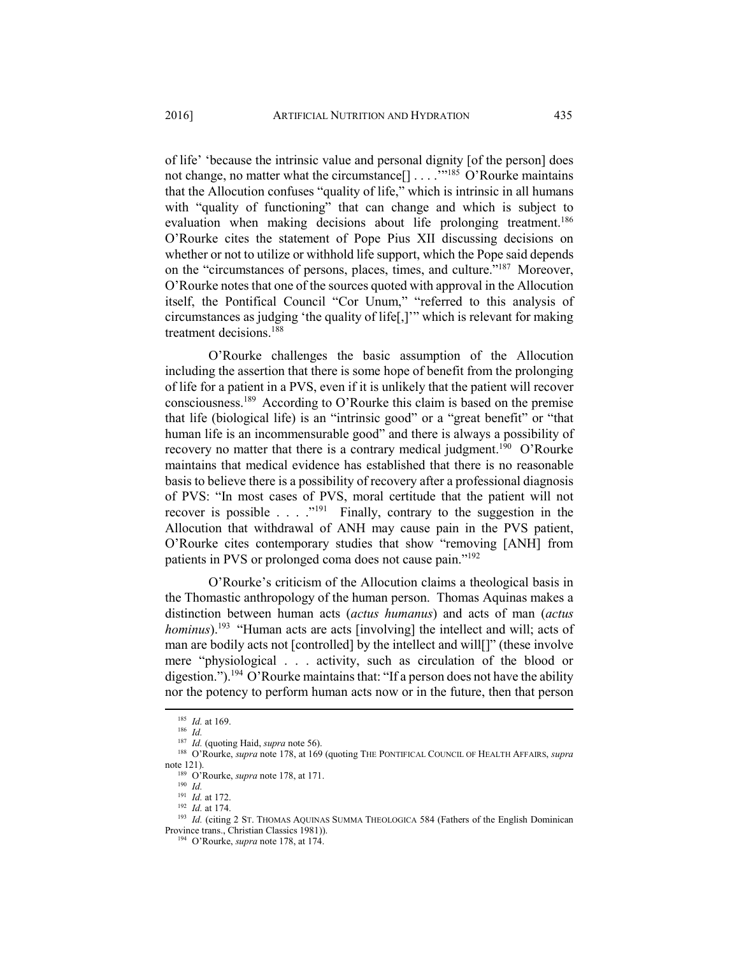of life' 'because the intrinsic value and personal dignity [of the person] does not change, no matter what the circumstance<sup>[]</sup> . . . .<sup>"185</sup> O'Rourke maintains that the Allocution confuses "quality of life," which is intrinsic in all humans with "quality of functioning" that can change and which is subject to evaluation when making decisions about life prolonging treatment.<sup>186</sup> O'Rourke cites the statement of Pope Pius XII discussing decisions on whether or not to utilize or withhold life support, which the Pope said depends on the "circumstances of persons, places, times, and culture."187 Moreover, O'Rourke notes that one of the sources quoted with approval in the Allocution itself, the Pontifical Council "Cor Unum," "referred to this analysis of circumstances as judging 'the quality of life[,]'" which is relevant for making treatment decisions.188

O'Rourke challenges the basic assumption of the Allocution including the assertion that there is some hope of benefit from the prolonging of life for a patient in a PVS, even if it is unlikely that the patient will recover consciousness.189 According to O'Rourke this claim is based on the premise that life (biological life) is an "intrinsic good" or a "great benefit" or "that human life is an incommensurable good" and there is always a possibility of recovery no matter that there is a contrary medical judgment.<sup>190</sup> O'Rourke maintains that medical evidence has established that there is no reasonable basis to believe there is a possibility of recovery after a professional diagnosis of PVS: "In most cases of PVS, moral certitude that the patient will not recover is possible . . . ."191 Finally, contrary to the suggestion in the Allocution that withdrawal of ANH may cause pain in the PVS patient, O'Rourke cites contemporary studies that show "removing [ANH] from patients in PVS or prolonged coma does not cause pain."192

O'Rourke's criticism of the Allocution claims a theological basis in the Thomastic anthropology of the human person. Thomas Aquinas makes a distinction between human acts (*actus humanus*) and acts of man (*actus hominus*).<sup>193</sup> "Human acts are acts [involving] the intellect and will; acts of man are bodily acts not [controlled] by the intellect and will[]" (these involve mere "physiological . . . activity, such as circulation of the blood or digestion.").<sup>194</sup> O'Rourke maintains that: "If a person does not have the ability nor the potency to perform human acts now or in the future, then that person

<sup>185</sup> *Id.* at 169. 186 *Id.*<sup>187</sup> *Id.* (quoting Haid, *supra* note 56). 188 O'Rourke, *supra* note 178, at 169 (quoting THE PONTIFICAL COUNCIL OF HEALTH AFFAIRS, *supra* note 121).<br><sup>189</sup> O'Rourke, *supra* note 178, at 171.<br><sup>190</sup> *Id.*<br>*In Id.* at 172.

<sup>191</sup> *Id.* at 172. 192 *Id.* at 174. 193 *Id.* (citing 2 ST. THOMAS AQUINAS SUMMA THEOLOGICA 584 (Fathers of the English Dominican Province trans., Christian Classics 1981)). 194 O'Rourke, *supra* note 178, at 174.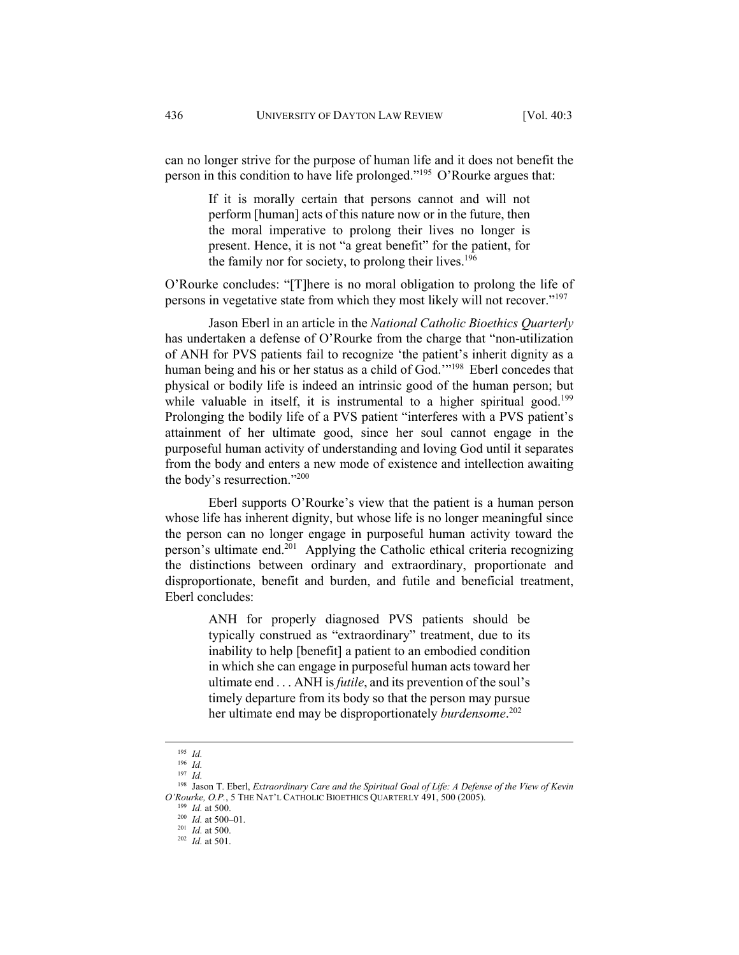can no longer strive for the purpose of human life and it does not benefit the person in this condition to have life prolonged."195 O'Rourke argues that:

> If it is morally certain that persons cannot and will not perform [human] acts of this nature now or in the future, then the moral imperative to prolong their lives no longer is present. Hence, it is not "a great benefit" for the patient, for the family nor for society, to prolong their lives.<sup>196</sup>

O'Rourke concludes: "[T]here is no moral obligation to prolong the life of persons in vegetative state from which they most likely will not recover."197

Jason Eberl in an article in the *National Catholic Bioethics Quarterly* has undertaken a defense of O'Rourke from the charge that "non-utilization of ANH for PVS patients fail to recognize 'the patient's inherit dignity as a human being and his or her status as a child of God.'"<sup>198</sup> Eberl concedes that physical or bodily life is indeed an intrinsic good of the human person; but while valuable in itself, it is instrumental to a higher spiritual good.<sup>199</sup> Prolonging the bodily life of a PVS patient "interferes with a PVS patient's attainment of her ultimate good, since her soul cannot engage in the purposeful human activity of understanding and loving God until it separates from the body and enters a new mode of existence and intellection awaiting the body's resurrection."200

Eberl supports O'Rourke's view that the patient is a human person whose life has inherent dignity, but whose life is no longer meaningful since the person can no longer engage in purposeful human activity toward the person's ultimate end.201 Applying the Catholic ethical criteria recognizing the distinctions between ordinary and extraordinary, proportionate and disproportionate, benefit and burden, and futile and beneficial treatment, Eberl concludes:

> ANH for properly diagnosed PVS patients should be typically construed as "extraordinary" treatment, due to its inability to help [benefit] a patient to an embodied condition in which she can engage in purposeful human acts toward her ultimate end . . . ANH is *futile*, and its prevention of the soul's timely departure from its body so that the person may pursue her ultimate end may be disproportionately *burdensome*. 202

 <sup>195</sup> *Id.*

<sup>196</sup> *Id.*

<sup>197</sup> *Id.*

<sup>198</sup> Jason T. Eberl, *Extraordinary Care and the Spiritual Goal of Life: A Defense of the View of Kevin O'Rourke, O.P.*, 5 THE NAT'L CATHOLIC BIOETHICS QUARTERLY 491, 500 (2005).<br><sup>199</sup> *Id.* at 500.<br><sup>200</sup> *Id.* at 500–01.<br><sup>201</sup> *Id.* at 500.<br><sup>202</sup> *Id.* at 501.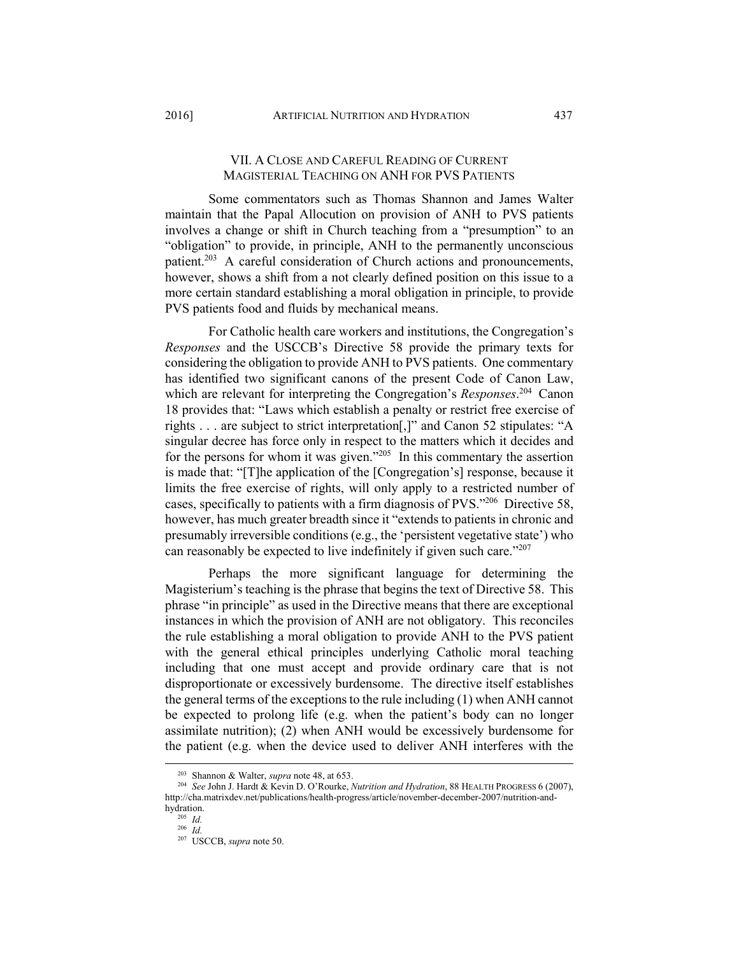### VII. A CLOSE AND CAREFUL READING OF CURRENT MAGISTERIAL TEACHING ON ANH FOR PVS PATIENTS

Some commentators such as Thomas Shannon and James Walter maintain that the Papal Allocution on provision of ANH to PVS patients involves a change or shift in Church teaching from a "presumption" to an "obligation" to provide, in principle, ANH to the permanently unconscious patient.<sup>203</sup> A careful consideration of Church actions and pronouncements, however, shows a shift from a not clearly defined position on this issue to a more certain standard establishing a moral obligation in principle, to provide PVS patients food and fluids by mechanical means.

For Catholic health care workers and institutions, the Congregation's *Responses* and the USCCB's Directive 58 provide the primary texts for considering the obligation to provide ANH to PVS patients. One commentary has identified two significant canons of the present Code of Canon Law, which are relevant for interpreting the Congregation's *Responses*. 204 Canon 18 provides that: "Laws which establish a penalty or restrict free exercise of rights . . . are subject to strict interpretation[,]" and Canon 52 stipulates: "A singular decree has force only in respect to the matters which it decides and for the persons for whom it was given."205 In this commentary the assertion is made that: "[T]he application of the [Congregation's] response, because it limits the free exercise of rights, will only apply to a restricted number of cases, specifically to patients with a firm diagnosis of PVS."206 Directive 58, however, has much greater breadth since it "extends to patients in chronic and presumably irreversible conditions (e.g., the 'persistent vegetative state') who can reasonably be expected to live indefinitely if given such care."207

Perhaps the more significant language for determining the Magisterium's teaching is the phrase that begins the text of Directive 58. This phrase "in principle" as used in the Directive means that there are exceptional instances in which the provision of ANH are not obligatory. This reconciles the rule establishing a moral obligation to provide ANH to the PVS patient with the general ethical principles underlying Catholic moral teaching including that one must accept and provide ordinary care that is not disproportionate or excessively burdensome. The directive itself establishes the general terms of the exceptions to the rule including (1) when ANH cannot be expected to prolong life (e.g. when the patient's body can no longer assimilate nutrition); (2) when ANH would be excessively burdensome for the patient (e.g. when the device used to deliver ANH interferes with the

 <sup>203</sup> Shannon & Walter, *supra* note 48, at 653. 204 *See* John J. Hardt & Kevin D. O'Rourke, *Nutrition and Hydration*, 88 HEALTH PROGRESS 6 (2007), http://cha.matrixdev.net/publications/health-progress/article/november-december-2007/nutrition-andhydration.<br> $\frac{^{205}}{^{206}}$ *Id.* 

<sup>207</sup> USCCB, *supra* note 50.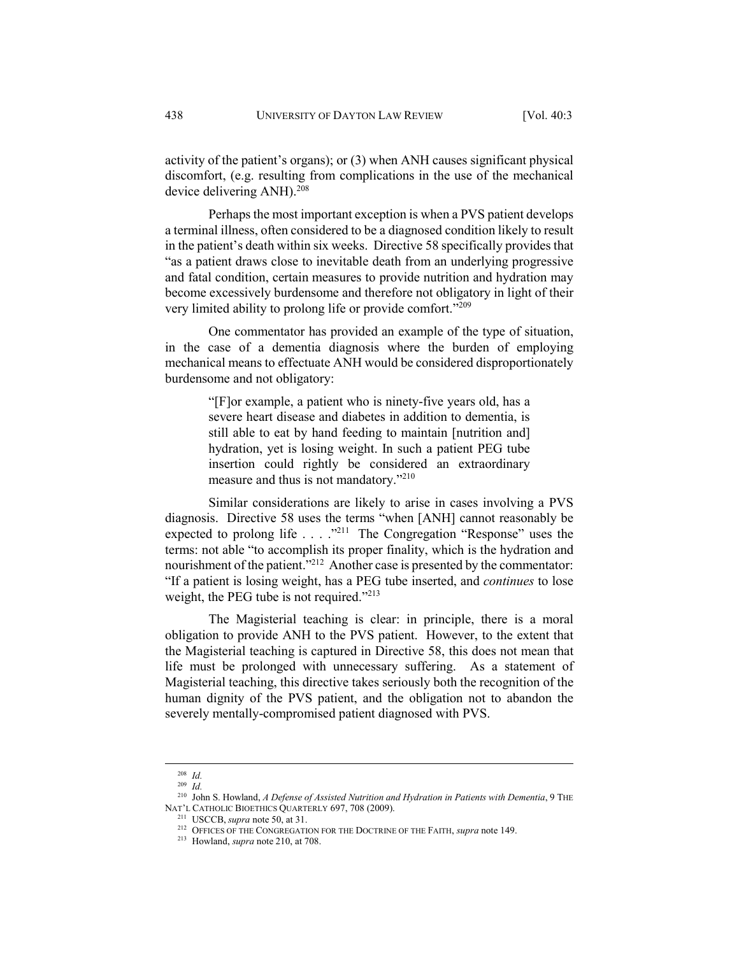activity of the patient's organs); or (3) when ANH causes significant physical discomfort, (e.g. resulting from complications in the use of the mechanical device delivering ANH).<sup>208</sup>

Perhaps the most important exception is when a PVS patient develops a terminal illness, often considered to be a diagnosed condition likely to result in the patient's death within six weeks. Directive 58 specifically provides that "as a patient draws close to inevitable death from an underlying progressive and fatal condition, certain measures to provide nutrition and hydration may become excessively burdensome and therefore not obligatory in light of their very limited ability to prolong life or provide comfort."209

One commentator has provided an example of the type of situation, in the case of a dementia diagnosis where the burden of employing mechanical means to effectuate ANH would be considered disproportionately burdensome and not obligatory:

> "[F]or example, a patient who is ninety-five years old, has a severe heart disease and diabetes in addition to dementia, is still able to eat by hand feeding to maintain [nutrition and] hydration, yet is losing weight. In such a patient PEG tube insertion could rightly be considered an extraordinary measure and thus is not mandatory."210

Similar considerations are likely to arise in cases involving a PVS diagnosis. Directive 58 uses the terms "when [ANH] cannot reasonably be expected to prolong life . . . . "<sup>211</sup> The Congregation "Response" uses the terms: not able "to accomplish its proper finality, which is the hydration and nourishment of the patient."<sup>212</sup> Another case is presented by the commentator: "If a patient is losing weight, has a PEG tube inserted, and *continues* to lose weight, the PEG tube is not required."<sup>213</sup>

The Magisterial teaching is clear: in principle, there is a moral obligation to provide ANH to the PVS patient. However, to the extent that the Magisterial teaching is captured in Directive 58, this does not mean that life must be prolonged with unnecessary suffering. As a statement of Magisterial teaching, this directive takes seriously both the recognition of the human dignity of the PVS patient, and the obligation not to abandon the severely mentally-compromised patient diagnosed with PVS.

 <sup>208</sup> *Id.*

<sup>209</sup> *Id.*

<sup>&</sup>lt;sup>210</sup> John S. Howland, *A Defense of Assisted Nutrition and Hydration in Patients with Dementia*, 9 THE NAT'L CATHOLIC BIOETHICS QUARTERLY 697, 708 (2009).

<sup>&</sup>lt;sup>211</sup> USCCB, *supra* note 50, at 31.<br><sup>212</sup> OFFICES OF THE CONGREGATION FOR THE DOCTRINE OF THE FAITH, *supra* note 149.<br><sup>213</sup> Howland, *supra* note 210, at 708.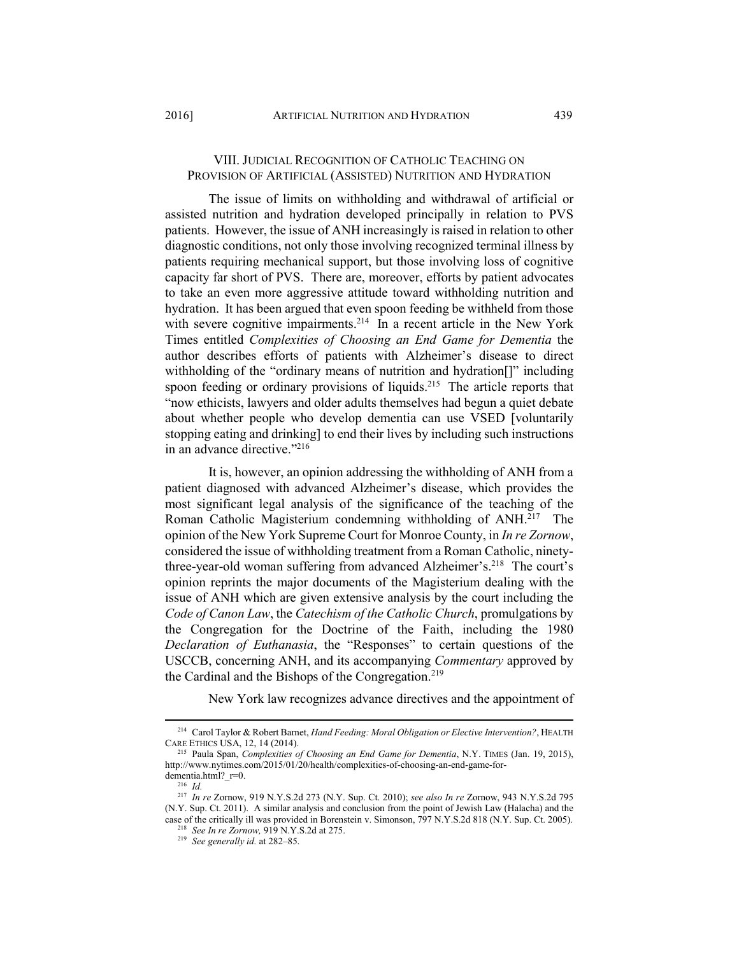### VIII. JUDICIAL RECOGNITION OF CATHOLIC TEACHING ON PROVISION OF ARTIFICIAL (ASSISTED) NUTRITION AND HYDRATION

The issue of limits on withholding and withdrawal of artificial or assisted nutrition and hydration developed principally in relation to PVS patients. However, the issue of ANH increasingly is raised in relation to other diagnostic conditions, not only those involving recognized terminal illness by patients requiring mechanical support, but those involving loss of cognitive capacity far short of PVS. There are, moreover, efforts by patient advocates to take an even more aggressive attitude toward withholding nutrition and hydration. It has been argued that even spoon feeding be withheld from those with severe cognitive impairments.<sup>214</sup> In a recent article in the New York Times entitled *Complexities of Choosing an End Game for Dementia* the author describes efforts of patients with Alzheimer's disease to direct withholding of the "ordinary means of nutrition and hydration<sup>[]"</sup> including spoon feeding or ordinary provisions of liquids.<sup>215</sup> The article reports that "now ethicists, lawyers and older adults themselves had begun a quiet debate about whether people who develop dementia can use VSED [voluntarily stopping eating and drinking] to end their lives by including such instructions in an advance directive."216

It is, however, an opinion addressing the withholding of ANH from a patient diagnosed with advanced Alzheimer's disease, which provides the most significant legal analysis of the significance of the teaching of the Roman Catholic Magisterium condemning withholding of ANH.<sup>217</sup> The opinion of the New York Supreme Court for Monroe County, in *In re Zornow*, considered the issue of withholding treatment from a Roman Catholic, ninetythree-year-old woman suffering from advanced Alzheimer's.<sup>218</sup> The court's opinion reprints the major documents of the Magisterium dealing with the issue of ANH which are given extensive analysis by the court including the *Code of Canon Law*, the *Catechism of the Catholic Church*, promulgations by the Congregation for the Doctrine of the Faith, including the 1980 *Declaration of Euthanasia*, the "Responses" to certain questions of the USCCB, concerning ANH, and its accompanying *Commentary* approved by the Cardinal and the Bishops of the Congregation.<sup>219</sup>

New York law recognizes advance directives and the appointment of

 <sup>214</sup> Carol Taylor & Robert Barnet, *Hand Feeding: Moral Obligation or Elective Intervention?*, HEALTH CARE ETHICS USA, 12, 14 (2014). 215 Paula Span, *Complexities of Choosing an End Game for Dementia*, N.Y. TIMES (Jan. 19, 2015),

http://www.nytimes.com/2015/01/20/health/complexities-of-choosing-an-end-game-fordementia.html?\_r=0. 216 *Id.*

<sup>217</sup> *In re* Zornow, 919 N.Y.S.2d 273 (N.Y. Sup. Ct. 2010); *see also In re* Zornow, 943 N.Y.S.2d 795 (N.Y. Sup. Ct. 2011). A similar analysis and conclusion from the point of Jewish Law (Halacha) and the case of the critically ill was provided in Borenstein v. Simonson, 797 N.Y.S.2d 818 (N.Y. Sup. Ct. 2005). 218 *See In re Zornow,* 919 N.Y.S.2d at 275. 219 *See generally id.* at 282–85.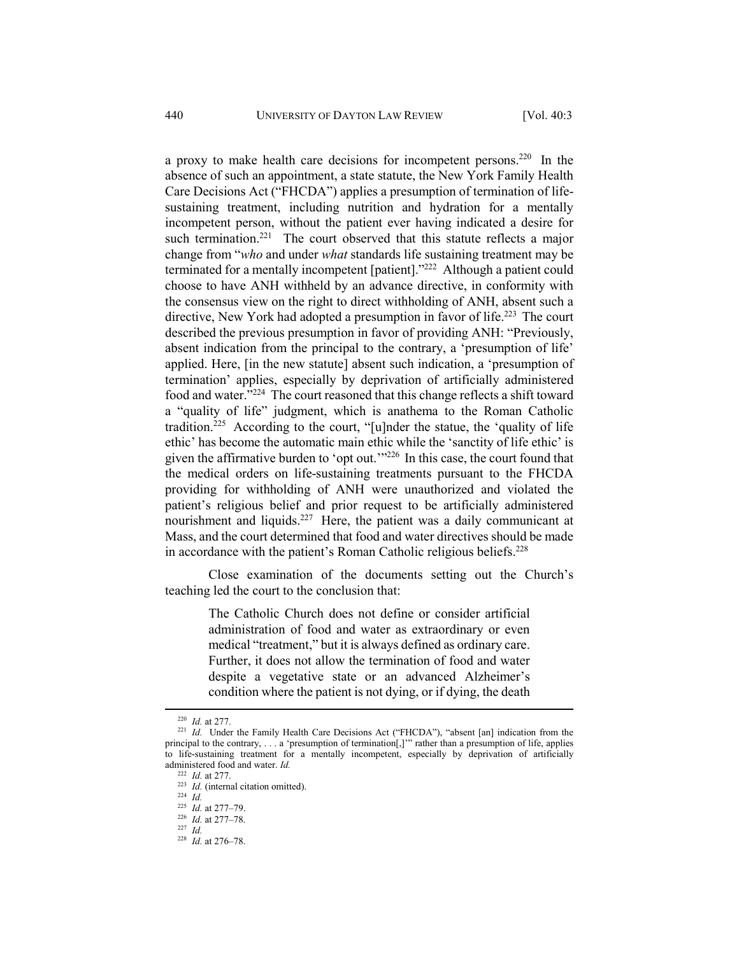a proxy to make health care decisions for incompetent persons.220 In the absence of such an appointment, a state statute, the New York Family Health Care Decisions Act ("FHCDA") applies a presumption of termination of lifesustaining treatment, including nutrition and hydration for a mentally incompetent person, without the patient ever having indicated a desire for such termination.<sup>221</sup> The court observed that this statute reflects a major change from "*who* and under *what* standards life sustaining treatment may be terminated for a mentally incompetent [patient]."222 Although a patient could choose to have ANH withheld by an advance directive, in conformity with the consensus view on the right to direct withholding of ANH, absent such a directive, New York had adopted a presumption in favor of life.<sup>223</sup> The court described the previous presumption in favor of providing ANH: "Previously, absent indication from the principal to the contrary, a 'presumption of life' applied. Here, [in the new statute] absent such indication, a 'presumption of termination' applies, especially by deprivation of artificially administered food and water."224 The court reasoned that this change reflects a shift toward a "quality of life" judgment, which is anathema to the Roman Catholic tradition.225 According to the court, "[u]nder the statue, the 'quality of life ethic' has become the automatic main ethic while the 'sanctity of life ethic' is given the affirmative burden to 'opt out.'"226 In this case, the court found that the medical orders on life-sustaining treatments pursuant to the FHCDA providing for withholding of ANH were unauthorized and violated the patient's religious belief and prior request to be artificially administered nourishment and liquids.<sup>227</sup> Here, the patient was a daily communicant at Mass, and the court determined that food and water directives should be made in accordance with the patient's Roman Catholic religious beliefs.228

Close examination of the documents setting out the Church's teaching led the court to the conclusion that:

> The Catholic Church does not define or consider artificial administration of food and water as extraordinary or even medical "treatment," but it is always defined as ordinary care. Further, it does not allow the termination of food and water despite a vegetative state or an advanced Alzheimer's condition where the patient is not dying, or if dying, the death

<sup>&</sup>lt;sup>220</sup> *Id.* at 277.<br><sup>221</sup> *Id.* Under the Family Health Care Decisions Act ("FHCDA"), "absent [an] indication from the principal to the contrary, . . . a 'presumption of termination[,]'" rather than a presumption of life, applies to life-sustaining treatment for a mentally incompetent, especially by deprivation of artificially administered food and water. *Id.* <sup>222</sup> *Id.* at 277.

<sup>&</sup>lt;sup>223</sup> *Id.* (internal citation omitted).<br><sup>224</sup> *Id.* at 277–79.

<sup>225</sup> *Id.* at 277–79. 226 *Id.* at 277–78. 227 *Id.*

<sup>228</sup> *Id.* at 276–78.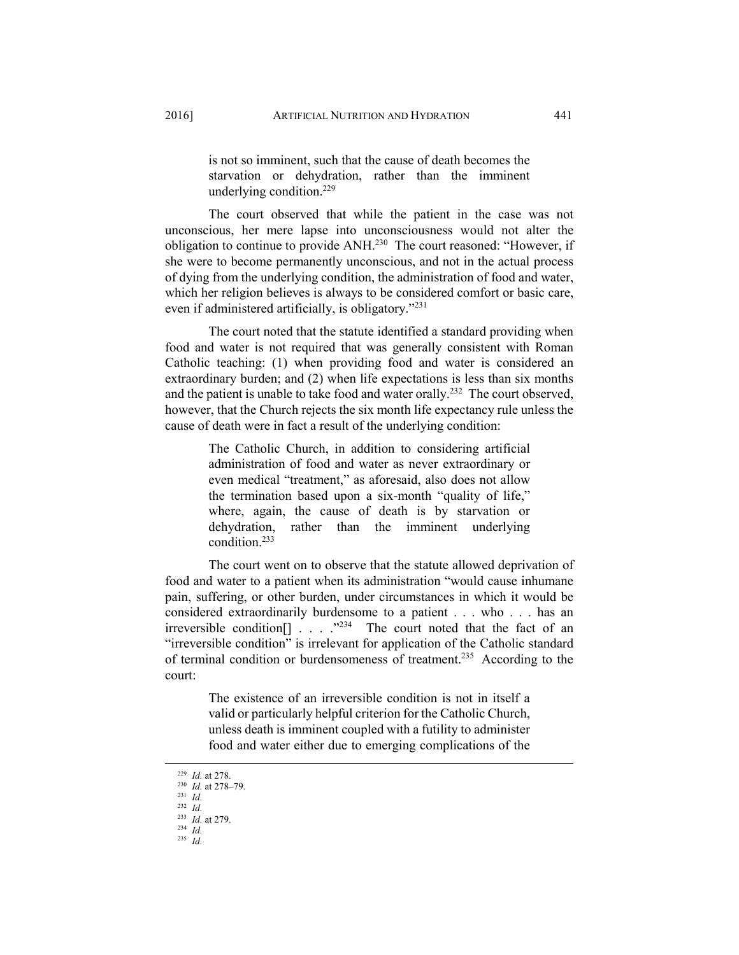is not so imminent, such that the cause of death becomes the starvation or dehydration, rather than the imminent underlying condition.229

The court observed that while the patient in the case was not unconscious, her mere lapse into unconsciousness would not alter the obligation to continue to provide ANH.230 The court reasoned: "However, if she were to become permanently unconscious, and not in the actual process of dying from the underlying condition, the administration of food and water, which her religion believes is always to be considered comfort or basic care, even if administered artificially, is obligatory."231

The court noted that the statute identified a standard providing when food and water is not required that was generally consistent with Roman Catholic teaching: (1) when providing food and water is considered an extraordinary burden; and (2) when life expectations is less than six months and the patient is unable to take food and water orally.<sup>232</sup> The court observed, however, that the Church rejects the six month life expectancy rule unless the cause of death were in fact a result of the underlying condition:

> The Catholic Church, in addition to considering artificial administration of food and water as never extraordinary or even medical "treatment," as aforesaid, also does not allow the termination based upon a six-month "quality of life," where, again, the cause of death is by starvation or dehydration, rather than the imminent underlying condition.233

The court went on to observe that the statute allowed deprivation of food and water to a patient when its administration "would cause inhumane pain, suffering, or other burden, under circumstances in which it would be considered extraordinarily burdensome to a patient . . . who . . . has an irreversible condition  $\left[ \begin{array}{ccc} 1 & \ldots & \ldots \\ \ldots & \ldots & \ldots \end{array} \right]$  The court noted that the fact of an "irreversible condition" is irrelevant for application of the Catholic standard of terminal condition or burdensomeness of treatment.235 According to the court:

> The existence of an irreversible condition is not in itself a valid or particularly helpful criterion for the Catholic Church, unless death is imminent coupled with a futility to administer food and water either due to emerging complications of the

<sup>229</sup> *Id.* at 278. 230 *Id.* at 278–79. 231 *Id.*

<sup>232</sup> *Id.*

<sup>&</sup>lt;sup>233</sup> *Id.* at 279.  $\frac{234}{235}$  *Id.*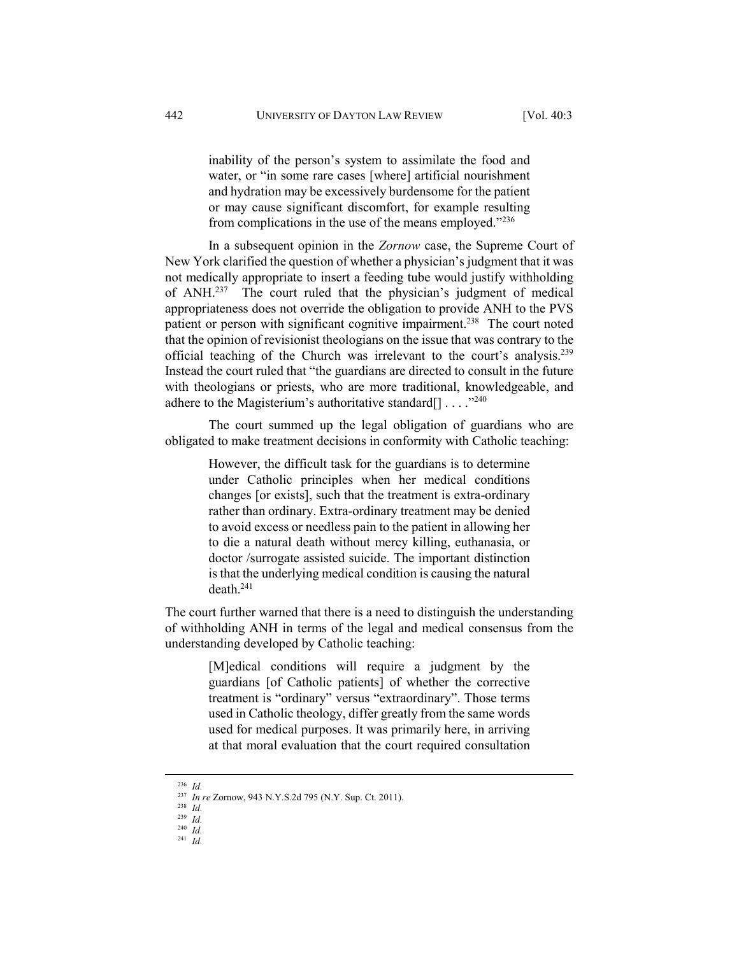inability of the person's system to assimilate the food and water, or "in some rare cases [where] artificial nourishment and hydration may be excessively burdensome for the patient or may cause significant discomfort, for example resulting from complications in the use of the means employed."236

In a subsequent opinion in the *Zornow* case, the Supreme Court of New York clarified the question of whether a physician's judgment that it was not medically appropriate to insert a feeding tube would justify withholding of ANH.237 The court ruled that the physician's judgment of medical appropriateness does not override the obligation to provide ANH to the PVS patient or person with significant cognitive impairment.<sup>238</sup> The court noted that the opinion of revisionist theologians on the issue that was contrary to the official teaching of the Church was irrelevant to the court's analysis.239 Instead the court ruled that "the guardians are directed to consult in the future with theologians or priests, who are more traditional, knowledgeable, and adhere to the Magisterium's authoritative standard $[] \dots$ <sup>240</sup>

The court summed up the legal obligation of guardians who are obligated to make treatment decisions in conformity with Catholic teaching:

> However, the difficult task for the guardians is to determine under Catholic principles when her medical conditions changes [or exists], such that the treatment is extra-ordinary rather than ordinary. Extra-ordinary treatment may be denied to avoid excess or needless pain to the patient in allowing her to die a natural death without mercy killing, euthanasia, or doctor /surrogate assisted suicide. The important distinction is that the underlying medical condition is causing the natural death.241

The court further warned that there is a need to distinguish the understanding of withholding ANH in terms of the legal and medical consensus from the understanding developed by Catholic teaching:

> [M]edical conditions will require a judgment by the guardians [of Catholic patients] of whether the corrective treatment is "ordinary" versus "extraordinary". Those terms used in Catholic theology, differ greatly from the same words used for medical purposes. It was primarily here, in arriving at that moral evaluation that the court required consultation

 <sup>236</sup> *Id.*

<sup>237</sup> *In re* Zornow, 943 N.Y.S.2d 795 (N.Y. Sup. Ct. 2011). 238 *Id.* 

<sup>239</sup> *Id.*

<sup>240</sup> *Id.* 241 *Id.*